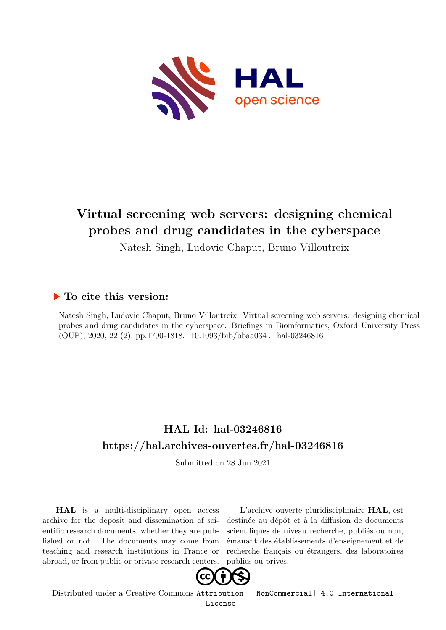

# **Virtual screening web servers: designing chemical probes and drug candidates in the cyberspace**

## Natesh Singh, Ludovic Chaput, Bruno Villoutreix

## **To cite this version:**

Natesh Singh, Ludovic Chaput, Bruno Villoutreix. Virtual screening web servers: designing chemical probes and drug candidates in the cyberspace. Briefings in Bioinformatics, Oxford University Press (OUP), 2020, 22 (2), pp.1790-1818.  $10.1093/bib/bbaa034$ . hal-03246816

# **HAL Id: hal-03246816 <https://hal.archives-ouvertes.fr/hal-03246816>**

Submitted on 28 Jun 2021

**HAL** is a multi-disciplinary open access archive for the deposit and dissemination of scientific research documents, whether they are published or not. The documents may come from teaching and research institutions in France or abroad, or from public or private research centers.

L'archive ouverte pluridisciplinaire **HAL**, est destinée au dépôt et à la diffusion de documents scientifiques de niveau recherche, publiés ou non, émanant des établissements d'enseignement et de recherche français ou étrangers, des laboratoires publics ou privés.



Distributed under a Creative Commons [Attribution - NonCommercial| 4.0 International](http://creativecommons.org/licenses/by-nc/4.0/) [License](http://creativecommons.org/licenses/by-nc/4.0/)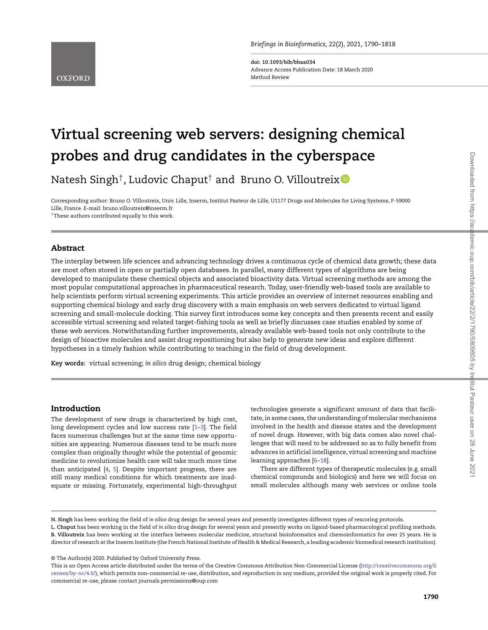**doi: 10.1093/bib/bbaa034** Advance Access Publication Date: 18 March 2020 Method Review

# **Virtual screening web servers: designing chemical probes and drug candidates in the cyberspace**

Natesh Singh<sup>†</sup>, Ludovic Chaput<sup>†</sup> and Bruno O. Villoutreix<sup>®</sup>

Corresponding author: Bruno O. Villoutreix, Univ. Lille, Inserm, Institut Pasteur de Lille, U1177 Drugs and Molecules for Living Systems, F-59000 Lille, France. E-mail: bruno.villoutreix@inserm.fr †These authors contributed equally to this work.

## **Abstract**

The interplay between life sciences and advancing technology drives a continuous cycle of chemical data growth; these data are most often stored in open or partially open databases. In parallel, many different types of algorithms are being developed to manipulate these chemical objects and associated bioactivity data. Virtual screening methods are among the most popular computational approaches in pharmaceutical research. Today, user-friendly web-based tools are available to help scientists perform virtual screening experiments. This article provides an overview of internet resources enabling and supporting chemical biology and early drug discovery with a main emphasis on web servers dedicated to virtual ligand screening and small-molecule docking. This survey first introduces some key concepts and then presents recent and easily accessible virtual screening and related target-fishing tools as well as brief ly discusses case studies enabled by some of these web services. Notwithstanding further improvements, already available web-based tools not only contribute to the design of bioactive molecules and assist drug repositioning but also help to generate new ideas and explore different hypotheses in a timely fashion while contributing to teaching in the field of drug development.

**Key words:** virtual screening; *in silico* drug design; chemical biology

## **Introduction**

The development of new drugs is characterized by high cost, long development cycles and low success rate [1–3]. The field faces numerous challenges but at the same time new opportunities are appearing. Numerous diseases tend to be much more complex than originally thought while the potential of genomic medicine to revolutionize health care will take much more time than anticipated [4, 5]. Despite important progress, there are still many medical conditions for which treatments are inadequate or missing. Fortunately, experimental high-throughput technologies generate a significant amount of data that facilitate, in some cases, the understanding of molecular mechanisms involved in the health and disease states and the development of novel drugs. However, with big data comes also novel challenges that will need to be addressed so as to fully benefit from advances in artificial intelligence, virtual screening and machine learning approaches [6–18].

There are different types of therapeutic molecules (e.g. small chemical compounds and biologics) and here we will focus on small molecules although many web services or online tools

**N. Singh** has been working the field of *in silico* drug design for several years and presently investigates different types of rescoring protocols.

**L. Chaput** has been working in the field of *in silico* drug design for several years and presently works on ligand-based pharmacological profiling methods. **B. Villoutreix** has been working at the interface between molecular medicine, structural bioinformatics and chemoinformatics for over 25 years. He is director of research at the Inserm Institute (the French National Institute of Health & Medical Research, a leading academic biomedical research institution).

© The Author(s) 2020. Published by Oxford University Press.

This is an Open Access article distributed under the terms of the Creative Commons Attribution Non-Commercial License [\(http://creativecommons.org/li](http://creativecommons.org/licenses/by-nc/4.0/) [censes/by-nc/4.0/\)](http://creativecommons.org/licenses/by-nc/4.0/), which permits non-commercial re-use, distribution, and reproduction in any medium, provided the original work is properly cited. For commercial re-use, please contact journals.permissions@oup.com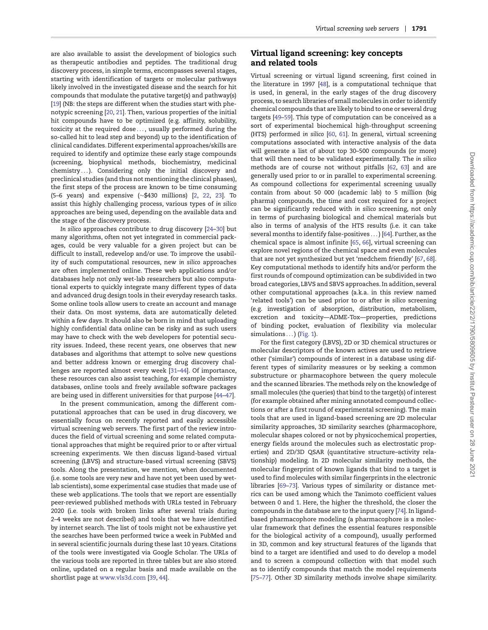are also available to assist the development of biologics such as therapeutic antibodies and peptides. The traditional drug discovery process, in simple terms, encompasses several stages, starting with identification of targets or molecular pathways likely involved in the investigated disease and the search for hit compounds that modulate the putative target(s) and pathway(s) [19] (NB: the steps are different when the studies start with phenotypic screening [20, 21]. Then, various properties of the initial hit compounds have to be optimized (e.g. affinity, solubility, toxicity at the required dose *...* , usually performed during the so-called hit to lead step and beyond) up to the identification of clinical candidates. Different experimental approaches/skills are required to identify and optimize these early stage compounds (screening, biophysical methods, biochemistry, medicinal chemistry *...* ). Considering only the initial discovery and preclinical studies (and thus not mentioning the clinical phases), the first steps of the process are known to be time consuming (5–6 years) and expensive (∼\$430 millions) [2, 22, 23]. To assist this highly challenging process, various types of *in silico* approaches are being used, depending on the available data and the stage of the discovery process.

*In silico* approaches contribute to drug discovery [24–30] but many algorithms, often not yet integrated in commercial packages, could be very valuable for a given project but can be difficult to install, redevelop and/or use. To improve the usability of such computational resources, new *in silico* approaches are often implemented online. These web applications and/or databases help not only wet-lab researchers but also computational experts to quickly integrate many different types of data and advanced drug design tools in their everyday research tasks. Some online tools allow users to create an account and manage their data. On most systems, data are automatically deleted within a few days. It should also be born in mind that uploading highly confidential data online can be risky and as such users may have to check with the web developers for potential security issues. Indeed, these recent years, one observes that new databases and algorithms that attempt to solve new questions and better address known or emerging drug discovery challenges are reported almost every week [31–44]. Of importance, these resources can also assist teaching, for example chemistry databases, online tools and freely available software packages are being used in different universities for that purpose [44–47].

In the present communication, among the different computational approaches that can be used in drug discovery, we essentially focus on recently reported and easily accessible virtual screening web servers. The first part of the review introduces the field of virtual screening and some related computational approaches that might be required prior to or after virtual screening experiments. We then discuss ligand-based virtual screening (LBVS) and structure-based virtual screening (SBVS) tools. Along the presentation, we mention, when documented (i.e. some tools are very new and have not yet been used by wetlab scientists), some experimental case studies that made use of these web applications. The tools that we report are essentially peer-reviewed published methods with URLs tested in February 2020 (i.e. tools with broken links after several trials during 2–4 weeks are not described) and tools that we have identified by internet search. The list of tools might not be exhaustive yet the searches have been performed twice a week in PubMed and in several scientific journals during these last 10 years. Citations of the tools were investigated via Google Scholar. The URLs of the various tools are reported in three tables but are also stored online, updated on a regular basis and made available on the shortlist page at <www.vls3d.com> [39, 44].

## **Virtual ligand screening: key concepts and related tools**

Virtual screening or virtual ligand screening, first coined in the literature in 1997 [48], is a computational technique that is used, in general, in the early stages of the drug discovery process, to search libraries of small molecules in order to identify chemical compounds that are likely to bind to one or several drug targets [49–59]. This type of computation can be conceived as a sort of experimental biochemical high-throughput screening (HTS) performed *in silico* [60, 61]. In general, virtual screening computations associated with interactive analysis of the data will generate a list of about top 30–500 compounds (or more) that will then need to be validated experimentally. The *in silico* methods are of course not without pitfalls [62, 63] and are generally used prior to or in parallel to experimental screening. As compound collections for experimental screening usually contain from about 50 000 (academic lab) to 5 million (big pharma) compounds, the time and cost required for a project can be significantly reduced with *in silico* screening, not only in terms of purchasing biological and chemical materials but also in terms of analysis of the HTS results (i.e. it can take several months to identify false-positives *...* ) [64]. Further, as the chemical space is almost infinite [65, 66], virtual screening can explore novel regions of the chemical space and even molecules that are not yet synthesized but yet 'medchem friendly' [67, 68]. Key computational methods to identify hits and/or perform the first rounds of compound optimization can be subdivided in two broad categories, LBVS and SBVS approaches. In addition, several other computational approaches (a.k.a. in this review named 'related tools') can be used prior to or after *in silico* screening (e.g. investigation of absorption, distribution, metabolism, excretion and toxicity—ADME-Tox—properties, predictions of binding pocket, evaluation of flexibility via molecular simulations *...* ) (Fig. 1).

For the first category (LBVS), 2D or 3D chemical structures or molecular descriptors of the known actives are used to retrieve other ('similar') compounds of interest in a database using different types of similarity measures or by seeking a common substructure or pharmacophore between the query molecule and the scanned libraries. The methods rely on the knowledge of small molecules (the queries) that bind to the target(s) of interest (for example obtained after mining annotated compound collections or after a first round of experimental screening). The main tools that are used in ligand-based screening are 2D molecular similarity approaches, 3D similarity searches (pharmacophore, molecular shapes colored or not by physicochemical properties, energy fields around the molecules such as electrostatic properties) and 2D/3D QSAR (quantitative structure–activity relationship) modeling. In 2D molecular similarity methods, the molecular fingerprint of known ligands that bind to a target is used to find molecules with similar fingerprints in the electronic libraries [69–73]. Various types of similarity or distance metrics can be used among which the Tanimoto coefficient values between 0 and 1. Here, the higher the threshold, the closer the compounds in the database are to the input query [74]. In ligandbased pharmacophore modeling (a pharmacophore is a molecular framework that defines the essential features responsible for the biological activity of a compound), usually performed in 3D, common and key structural features of the ligands that bind to a target are identified and used to do develop a model and to screen a compound collection with that model such as to identify compounds that match the model requirements [75–77]. Other 3D similarity methods involve shape similarity.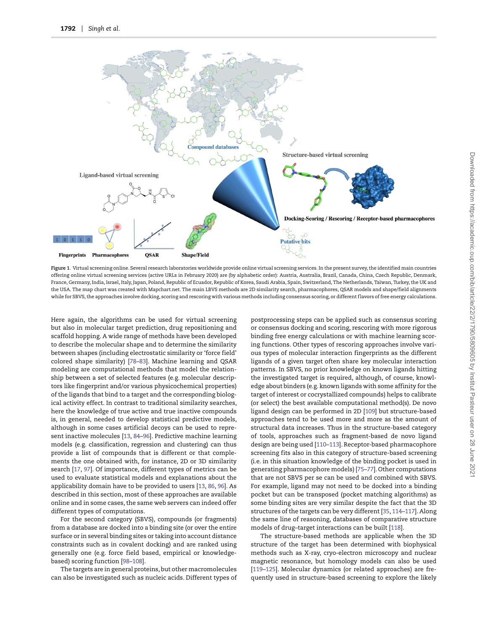

**Figure 1**. Virtual screening online. Several research laboratories worldwide provide online virtual screening services. In the present survey, the identified main countries offering online virtual screening services (active URLs in February 2020) are (by alphabetic order): Austria, Australia, Brazil, Canada, China, Czech Republic, Denmark, France, Germany, India, Israel, Italy, Japan, Poland, Republic of Ecuador, Republic of Korea, Saudi Arabia, Spain, Switzerland, The Netherlands, Taïwan, Turkey, the UK and the USA. The map chart was created with Mapchart.net. The main LBVS methods are 2D similarity search, pharmacophores, QSAR models and shape/field alignments while for SBVS, the approaches involve docking, scoring and rescoring with various methods including consensus scoring, or different flavors of free energy calculations.

Here again, the algorithms can be used for virtual screening but also in molecular target prediction, drug repositioning and scaffold hopping. A wide range of methods have been developed to describe the molecular shape and to determine the similarity between shapes (including electrostatic similarity or 'force field' colored shape similarity) [78–83]. Machine learning and QSAR modeling are computational methods that model the relationship between a set of selected features (e.g. molecular descriptors like fingerprint and/or various physicochemical properties) of the ligands that bind to a target and the corresponding biological activity effect. In contrast to traditional similarity searches, here the knowledge of true active and true inactive compounds is, in general, needed to develop statistical predictive models, although in some cases artificial decoys can be used to represent inactive molecules [13, 84–96]. Predictive machine learning models (e.g. classification, regression and clustering) can thus provide a list of compounds that is different or that complements the one obtained with, for instance, 2D or 3D similarity search [17, 97]. Of importance, different types of metrics can be used to evaluate statistical models and explanations about the applicability domain have to be provided to users [13, 86, 96]. As described in this section, most of these approaches are available online and in some cases, the same web servers can indeed offer different types of computations.

For the second category (SBVS), compounds (or fragments) from a database are docked into a binding site (or over the entire surface or in several binding sites or taking into account distance constraints such as in covalent docking) and are ranked using generally one (e.g. force field based, empirical or knowledgebased) scoring function [98–108].

The targets are in general proteins, but other macromolecules can also be investigated such as nucleic acids. Different types of postprocessing steps can be applied such as consensus scoring or consensus docking and scoring, rescoring with more rigorous binding free energy calculations or with machine learning scoring functions. Other types of rescoring approaches involve various types of molecular interaction fingerprints as the different ligands of a given target often share key molecular interaction patterns. In SBVS, no prior knowledge on known ligands hitting the investigated target is required, although, of course, knowledge about binders (e.g. known ligands with some affinity for the target of interest or cocrystallized compounds) helps to calibrate (or select) the best available computational method(s). De novo ligand design can be performed in 2D [109] but structure-based approaches tend to be used more and more as the amount of structural data increases. Thus in the structure-based category of tools, approaches such as fragment-based de novo ligand design are being used [110–113]. Receptor-based pharmacophore screening fits also in this category of structure-based screening (i.e. in this situation knowledge of the binding pocket is used in generating pharmacophore models) [75–77]. Other computations that are not SBVS per se can be used and combined with SBVS. For example, ligand may not need to be docked into a binding pocket but can be transposed (pocket matching algorithms) as some binding sites are very similar despite the fact that the 3D structures of the targets can be very different [35, 114–117]. Along the same line of reasoning, databases of comparative structure models of drug–target interactions can be built [118].

The structure-based methods are applicable when the 3D structure of the target has been determined with biophysical methods such as X-ray, cryo-electron microscopy and nuclear magnetic resonance, but homology models can also be used [119–125]. Molecular dynamics (or related approaches) are frequently used in structure-based screening to explore the likely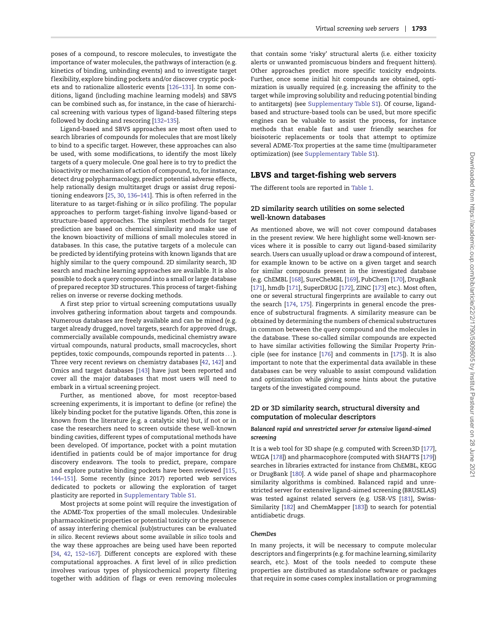poses of a compound, to rescore molecules, to investigate the importance of water molecules, the pathways of interaction (e.g. kinetics of binding, unbinding events) and to investigate target flexibility, explore binding pockets and/or discover cryptic pockets and to rationalize allosteric events [126–131]. In some conditions, ligand (including machine learning models) and SBVS can be combined such as, for instance, in the case of hierarchical screening with various types of ligand-based filtering steps followed by docking and rescoring [132–135].

Ligand-based and SBVS approaches are most often used to search libraries of compounds for molecules that are most likely to bind to a specific target. However, these approaches can also be used, with some modifications, to identify the most likely targets of a query molecule. One goal here is to try to predict the bioactivity or mechanism of action of compound, to, for instance, detect drug polypharmacology, predict potential adverse effects, help rationally design multitarget drugs or assist drug repositioning endeavors [25, 30, 136–141]. This is often referred in the literature to as target-fishing or *in silico* profiling. The popular approaches to perform target-fishing involve ligand-based or structure-based approaches. The simplest methods for target prediction are based on chemical similarity and make use of the known bioactivity of millions of small molecules stored in databases. In this case, the putative targets of a molecule can be predicted by identifying proteins with known ligands that are highly similar to the query compound. 2D similarity search, 3D search and machine learning approaches are available. It is also possible to dock a query compound into a small or large database of prepared receptor 3D structures. This process of target-fishing relies on inverse or reverse docking methods.

A first step prior to virtual screening computations usually involves gathering information about targets and compounds. Numerous databases are freely available and can be mined (e.g. target already drugged, novel targets, search for approved drugs, commercially available compounds, medicinal chemistry aware virtual compounds, natural products, small macrocycles, short peptides, toxic compounds, compounds reported in patents *...* ). Three very recent reviews on chemistry databases [42, 142] and Omics and target databases [143] have just been reported and cover all the major databases that most users will need to embark in a virtual screening project.

Further, as mentioned above, for most receptor-based screening experiments, it is important to define (or refine) the likely binding pocket for the putative ligands. Often, this zone is known from the literature (e.g. a catalytic site) but, if not or in case the researchers need to screen outside these well-known binding cavities, different types of computational methods have been developed. Of importance, pocket with a point mutation identified in patients could be of major importance for drug discovery endeavors. The tools to predict, prepare, compare and explore putative binding pockets have been reviewed [115, 144–151]. Some recently (since 2017) reported web services dedicated to pockets or allowing the exploration of target plasticity are reported in [Supplementary Table S1.](https://academic.oup.com/bib/article-lookup/doi/10.1093/bib/bbaa034#supplementary-data)

Most projects at some point will require the investigation of the ADME-Tox properties of the small molecules. Undesirable pharmacokinetic properties or potential toxicity or the presence of assay interfering chemical (sub)structures can be evaluated *in silico*. Recent reviews about some available *in silico* tools and the way these approaches are being used have been reported [34, 42, 152–167]. Different concepts are explored with these computational approaches. A first level of *in silico* prediction involves various types of physicochemical property filtering together with addition of flags or even removing molecules

that contain some 'risky' structural alerts (i.e. either toxicity alerts or unwanted promiscuous binders and frequent hitters). Other approaches predict more specific toxicity endpoints. Further, once some initial hit compounds are obtained, optimization is usually required (e.g. increasing the affinity to the target while improving solubility and reducing potential binding to antitargets) (see [Supplementary Table S1\)](https://academic.oup.com/bib/article-lookup/doi/10.1093/bib/bbaa034#supplementary-data). Of course, ligandbased and structure-based tools can be used, but more specific engines can be valuable to assist the process, for instance methods that enable fast and user friendly searches for bioisoteric replacements or tools that attempt to optimize several ADME-Tox properties at the same time (multiparameter optimization) (see [Supplementary Table S1\)](https://academic.oup.com/bib/article-lookup/doi/10.1093/bib/bbaa034#supplementary-data).

## **LBVS and target-fishing web servers**

The different tools are reported in Table 1.

## **2D similarity search utilities on some selected well-known databases**

As mentioned above, we will not cover compound databases in the present review. We here highlight some well-known services where it is possible to carry out ligand-based similarity search. Users can usually upload or draw a compound of interest, for example known to be active on a given target and search for similar compounds present in the investigated database (e.g. ChEMBL [168], SureCheMBL [169], PubChem [170], DrugBank [171], hmdb [171], SuperDRUG [172], ZINC [173] etc.). Most often, one or several structural fingerprints are available to carry out the search [174, 175]. Fingerprints in general encode the presence of substructural fragments. A similarity measure can be obtained by determining the numbers of chemical substructures in common between the query compound and the molecules in the database. These so-called similar compounds are expected to have similar activities following the Similar Property Principle (see for instance [176] and comments in [175]). It is also important to note that the experimental data available in these databases can be very valuable to assist compound validation and optimization while giving some hints about the putative targets of the investigated compound.

## **2D or 3D similarity search, structural diversity and computation of molecular descriptors**

## *Balanced rapid and unrestricted server for extensive ligand-aimed screening*

It is a web tool for 3D shape (e.g. computed with Screen3D [177], WEGA [178]) and pharmacophore (computed with SHAFTS [179]) searches in libraries extracted for instance from ChEMBL, KEGG or DrugBank [180]. A wide panel of shape and pharmacophore similarity algorithms is combined. Balanced rapid and unrestricted server for extensive ligand-aimed screening (BRUSELAS) was tested against related servers (e.g. USR-VS [181], Swiss-Similarity [182] and ChemMapper [183]) to search for potential antidiabetic drugs.

#### *ChemDes*

In many projects, it will be necessary to compute molecular descriptors and fingerprints (e.g. for machine learning, similarity search, etc.). Most of the tools needed to compute these properties are distributed as standalone software or packages that require in some cases complex installation or programming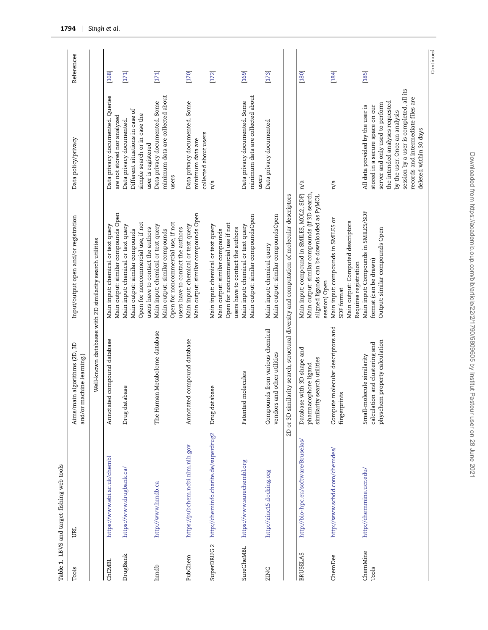|                        | Table 1. LBVS and target-fishing web tools |                                                                                              |                                                                                                                                                                |                                                                                                                                                                                                                                                                                       |            |
|------------------------|--------------------------------------------|----------------------------------------------------------------------------------------------|----------------------------------------------------------------------------------------------------------------------------------------------------------------|---------------------------------------------------------------------------------------------------------------------------------------------------------------------------------------------------------------------------------------------------------------------------------------|------------|
| Tools                  | E                                          | Aims/main algorithms (2D, 3D<br>machine learning.)<br>and/or                                 | Input/output open and/or registration                                                                                                                          | Data policy/privacy                                                                                                                                                                                                                                                                   | References |
|                        |                                            |                                                                                              | Well-known databases with 2D similarity search utilities                                                                                                       |                                                                                                                                                                                                                                                                                       |            |
| <b>ChEMBL</b>          | https://www.ebi.ac.uk/chembl               | Annotated compound database                                                                  | Main output: similar compounds Open<br>Main input: chemical or text query                                                                                      | Data privacy documented. Queries<br>are not stored nor analyzed                                                                                                                                                                                                                       | [168]      |
| DrugBank               | https://www.drugbank.ca/                   | Drug database                                                                                | Open for noncommercial use, if not<br>Main input: chemical or text query<br>Main output: similar compounds                                                     | Different situations in case of<br>simple search or in case the<br>Data privacy documented.                                                                                                                                                                                           | [171]      |
| hmdb                   | http://www.hmdb.ca                         | The Human Metabolome database                                                                | Open for noncommercial use, if not<br>Main input: chemical or text query<br>users have to contact the authors<br>Main output: similar compounds                | minimum data are collected about<br>Data privacy documented. Some<br>user is registered<br>users                                                                                                                                                                                      | [171]      |
| PubChem                | https://pubchem.ncbi.nlm.nih.gov           | Annotated compound database                                                                  | Main output: similar compounds Open<br>Main input: chemical or text query<br>users have to contact the authors                                                 | Data privacy documented. Some<br>minimum data are                                                                                                                                                                                                                                     | [170]      |
| SuperDRUG <sub>2</sub> | http://cheminfo.charite.de/superdrug2      | Drug database                                                                                | Open for noncommercial use if not<br>Main input: chemical or text query<br>Main output: similar compounds                                                      | collected about users<br>n/a                                                                                                                                                                                                                                                          | [172]      |
| <b>SureCheMBL</b>      | https://www.surechembl.org                 | Patented molecules                                                                           | Main output: similar compoundsOpen<br>Main input: chemical or text query<br>users have to contact the authors                                                  | minimum data are collected about<br>Data privacy documented. Some                                                                                                                                                                                                                     | [169]      |
| ZINC                   | http://zinc15.docking.org                  | Compounds from various chemical<br>vendors and other utilities                               | Main output: similar compoundsOpen<br>Main input: chemical query                                                                                               | Data privacy documented<br>users                                                                                                                                                                                                                                                      | [173]      |
|                        |                                            | 2D or 3D sir                                                                                 | nilarity search, structural diversity and computation of molecular descriptors                                                                                 |                                                                                                                                                                                                                                                                                       |            |
| <b>BRUSELAS</b>        | http://bio-hpc.eu/software/Bruselas/       | Database with 3D shape and<br>similarity search utilities<br>pharmacophore ligand            | Main input: compound in SMILES, MOL2, SDF) n/a<br>Main output: similar compounds (if 3D search,<br>aligned ligands can be downloaded as PyMOL<br>session) Open |                                                                                                                                                                                                                                                                                       | [180]      |
| ChemDes                | http://www.scbdd.com/chemdes/              | Compute molecular descriptors and<br>fingerprints                                            | Main input: compounds in SMILES or<br>Main output: Computed descriptors<br>SDF format                                                                          | n/a                                                                                                                                                                                                                                                                                   | [184]      |
| ChemMine<br>Tools      | http://chemmine.ucr.edu/                   | physchem property calculation<br>calculation and clustering and<br>Small-molecule similarity | Main input: Compounds in SMILES/SDF<br>Output: similar compounds Open<br>format (can be drawn)<br>Requires registration                                        | session by a user is completed, all its<br>records and intermediate files are<br>the intended analyses requested<br>server and only used to perform<br>All data provided by the user is<br>stored in a secure space on our<br>by the user. Once an analysis<br>deleted within 30 days | [185]      |
|                        |                                            |                                                                                              |                                                                                                                                                                |                                                                                                                                                                                                                                                                                       | Continued  |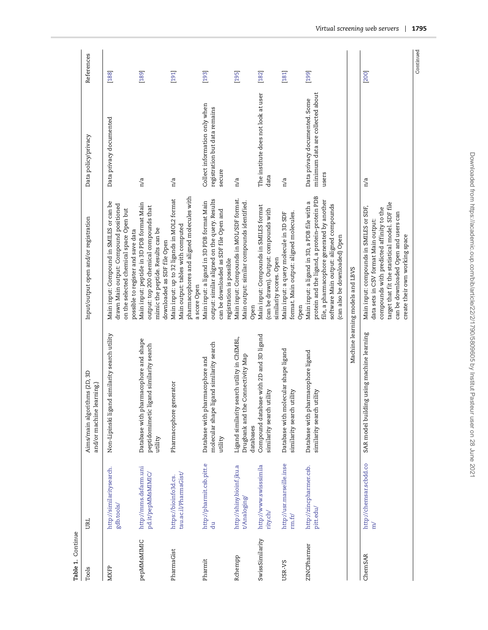| Table 1. Continue |                                                |                                                                                                  |                                                                                                                                                                                                                                                          |                                                                            |            |
|-------------------|------------------------------------------------|--------------------------------------------------------------------------------------------------|----------------------------------------------------------------------------------------------------------------------------------------------------------------------------------------------------------------------------------------------------------|----------------------------------------------------------------------------|------------|
| Tools             | URL                                            | Aims/main algorithms (2D, 3D<br>and/or machine learning.)                                        | Input/output open and/or registration                                                                                                                                                                                                                    | Data policy/privacy                                                        | References |
| <b>MXFP</b>       | http://similaritysearch.<br>gdb.tools/         | Non-Lipinski ligand similarity search utility                                                    | Main input: Compound in SMILES or can be<br>drawn Main output: Compound positioned<br>on the selected chemical space Open but<br>possible to register and save data                                                                                      | Data privacy documented                                                    | [188]      |
| pepMMsMIMIC       | http://mms.dsfarm.uni<br>pd.it/pepMMsMIMIC/    | Database with pharmacophore and shape<br>peptidomimetic ligand similarity search<br>utility      | Main input: peptide in 3D PDB format Main<br>output: top 200 chemical compounds that<br>mimic the peptide. Results can be<br>downloaded as SDF file Open                                                                                                 | n/a                                                                        | [189]      |
| PharmaGist        | tau.ac.il/PharmaGist/<br>https://bioinfo3d.cs. | Pharmacophore generator                                                                          | pharmacophores and aligned molecules with<br>Main input: up to 32 ligands in MOL2 format<br>Main output: tables with computed<br>a score Open                                                                                                            | n/a                                                                        | [191]      |
| Pharmit           | http://pharmit.csb.pitt.e<br>du                | gand similarity search<br>Database with pharmacophore and<br>molecular shape li<br>utility       | output: similar aligned on the query. Results<br>Main input: a ligand in 3D PDB format Main<br>can be downloaded as SDF file Open and<br>registration is possible                                                                                        | Collect information only when<br>registration but data remains<br>secure   | [193]      |
| Rchempp           | http://shiny.bioinf.jku.a<br>t/Analoging/      | Ligand similarity search utility in ChEMBL,<br>Connectivity Map<br>Drugbank and the<br>databases | Main input: Compounds in MOL/SDF format.<br>Main output: similar compounds identified.<br>Open                                                                                                                                                           | n/a                                                                        | [195]      |
| SwissSimilarity   | http://www.swisssimila<br>rity.ch/             | se with 2D and 3D ligand<br>similarity search utility<br>Compound databa                         | Main input: Compounds in SMILES format<br>(can be drawn). Output: compounds with<br>similarity scores. Open                                                                                                                                              | The institute does not look at user<br>data                                | [182]      |
| USR-VS            | http://usr.marseille.inse<br>rm.fr/            | Database with molecular shape ligand<br>similarity search utility                                | Main input: a query molecule in 3D SDF<br>format. Main output: aligned molecules.<br>Open                                                                                                                                                                | n/a                                                                        | [181]      |
| ZINCPharmer       | http://zincpharmer.csb.<br>pitt.edu            | Database with pharmacophore ligand<br>similarity search utility                                  | protein and the ligand, a protein-protein PDB<br>file, a pharmacophore generated by another<br>Main input: a ligand in 3D, a PDB file with a<br>software Main output: aligned compounds<br>(can also be downloaded) Open                                 | minimum data are collected about<br>Data privacy documented. Some<br>users | [199]      |
|                   |                                                |                                                                                                  | Machine learning models and LBVS                                                                                                                                                                                                                         |                                                                            |            |
| ChemSAR           | http://chemsar.scbdd.co<br>Em                  | gusing machine learning<br>SAR model buildin                                                     | target that fit the statistical model. SDF file<br>Main input: compounds in SMILES or SDF,<br>compounds with predicted affinity to the<br>can be downloaded Open and users can<br>data sets in CSV format Main output:<br>create their own working space | n/a                                                                        | 200        |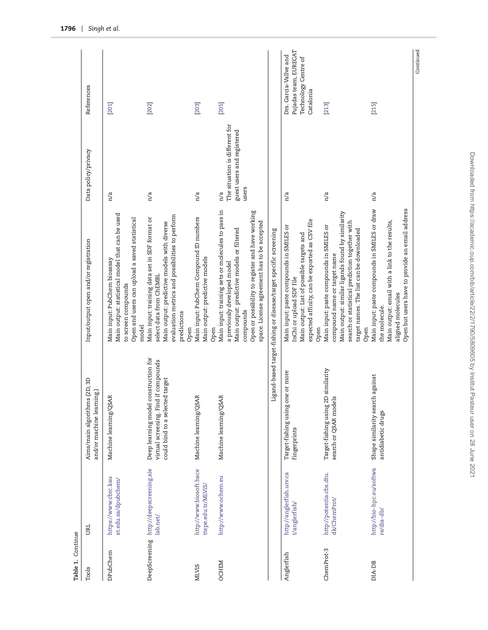| Continue<br>Table 1. |                                                    |                                                                                                                 |                                                                                                                                                                                                                                                 |                                                                              |                                                                                      |
|----------------------|----------------------------------------------------|-----------------------------------------------------------------------------------------------------------------|-------------------------------------------------------------------------------------------------------------------------------------------------------------------------------------------------------------------------------------------------|------------------------------------------------------------------------------|--------------------------------------------------------------------------------------|
| Tools                | <b>URL</b>                                         | Aims/main algorithms (2D, 3D<br>and/or machine learning.)                                                       | Input/output open and/or registration                                                                                                                                                                                                           | Data policy/privacy                                                          | References                                                                           |
| DPubChem             | https://www.cbrc.kau<br>st.edu.sa/dpubchem/        | Machine learning/QSAR                                                                                           | Main output: statistical model that can be used<br>Open and users can upload a saved statistical<br>Main input: PubChem bioassay<br>to screen compounds<br>model                                                                                | n/a                                                                          | 201                                                                                  |
|                      | DeepScreening http://deepscreening.xie<br>lab.net/ | Deep learning model construction for<br>virtual screening. Find if compounds<br>could bind to a selected target | evaluation metrics and possibilities to perform<br>Main input: training data set in SDF format or<br>Main output: predictive models with diverse<br>select data from ChEMBL<br>predictions<br>Open                                              | n/a                                                                          | [202]                                                                                |
| <b>MLViS</b>         | http://www.biosoft.hace<br>ttepe.edu.tr/MLViS/     | Machine learning/QSAR                                                                                           | Main input: PubChem Compound ID numbers<br>Main output: predictive models<br>Open                                                                                                                                                               | n/a                                                                          | [203]                                                                                |
| <b>OCHEM</b>         | http://www.ochem.eu                                | Machine learning/QSAR                                                                                           | Main input: training sets or molecules to pass in<br>Open or possibility to register and have working<br>space. License agreement has to be accepted<br>Main output: predictive models or filtered<br>a previously developed model<br>compounds | The situation is different for<br>guest users and registered<br>users<br>n/a | [205]                                                                                |
|                      |                                                    |                                                                                                                 | Ligand-based target-fishing or disease/target specific screening                                                                                                                                                                                |                                                                              |                                                                                      |
| Anglerfish           | http://anglerfish.urv.ca<br>t/anglerfish/          | Target-fishing using one or more<br>fingerprints                                                                | expected affinity, can be exported as CSV file<br>Main input: paste compounds in SMILES or<br>Main output: List of possible targets and<br>InChi or upload SDF file<br>Open                                                                     | n/a                                                                          | Pujadas team, EURECAT<br>Drs. Garcia-Vallve and<br>Technology Centre of<br>Catalonia |
| ChemProt-3           | http://potentia.cbs.dtu.<br>dk/ChemProt/           | Target-fishing using 2D similarity<br>search or QSAR models                                                     | Main output: similar ligands found by similarity<br>search or statistical prediction together with<br>Main input: paste compounds in SMILES or<br>target names. The list can be downloaded<br>compound name or target name<br>Open              | n/a                                                                          | <b>[213]</b>                                                                         |
| DIA-DB               | http://bio-hpc.eu/softwa<br>re/dia-db/             | Shape similarity search against<br>antidiabetic drugs                                                           | Open but users have to provide an email address<br>Main input: paste compounds in SMILES or draw<br>Main output: email with a link to the results,<br>aligned molecules<br>the molecule.                                                        | n/a                                                                          | 215                                                                                  |
|                      |                                                    |                                                                                                                 |                                                                                                                                                                                                                                                 |                                                                              | Continued                                                                            |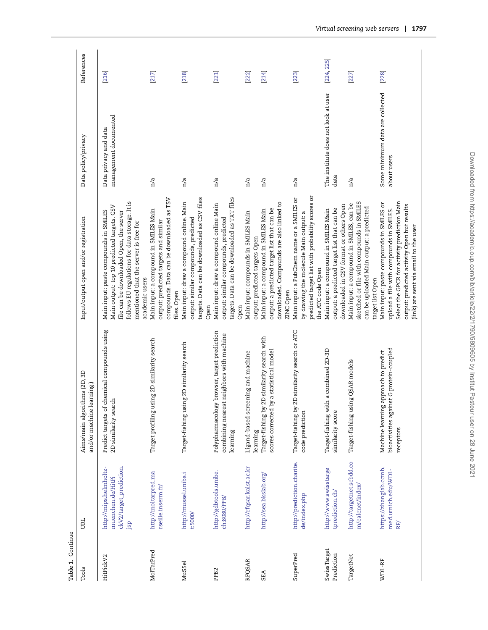| Continue<br>Table 1.      |                                                                               |                                                                                                     |                                                                                                                                                                                                                                             |                                                |            |
|---------------------------|-------------------------------------------------------------------------------|-----------------------------------------------------------------------------------------------------|---------------------------------------------------------------------------------------------------------------------------------------------------------------------------------------------------------------------------------------------|------------------------------------------------|------------|
| Tools                     | <b>URL</b>                                                                    | Aims/main algorithms (2D, 3D<br>and/or machine learning.)                                           | Input/output open and/or registration                                                                                                                                                                                                       | Data policy/privacy                            | References |
| HitPickV2                 | ckV2/target_prediction.<br>http://mips.helmholtz-<br>muenchen.de/HitPi<br>qsi | chemical compounds using<br>2D similarity search<br>Predict targets of                              | follows EU regulations for data storage. It is<br>Main output: top 10 predicted targets. CSV<br>Main input: paste compounds in SMILES<br>file can be downloaded Open, the server<br>mentioned that the server is free for<br>academic users | management documented<br>Data privacy and data | 216        |
| MolTarPred                | http://moltarpred.ma<br>rseille.inserm.fr/                                    | Target profiling using 2D similarity search                                                         | compounds. Data can be downloaded as TSV<br>Main input: a compound in SMILES Main<br>output: predicted targets and similar<br>files. Open                                                                                                   | n/a                                            | [217]      |
| MuSSel                    | http://mussel.uniba.i<br>t:5000/                                              | Target-fishing using 2D similarity search                                                           | targets. Data can be downloaded as CSV files<br>Main input: draw a compound online. Main<br>output: similar compounds, predicted                                                                                                            | n/a                                            | 218        |
| PPB <sub>2</sub>          | http://gdbtools.unibe.<br>ch:8080/PPB/                                        | Polypharmacology browser, target prediction<br>combining nearest neighbors with machine<br>learning | targets. Data can be downloaded as TXT files<br>Main input: draw a compound online Main<br>output: similar compounds, predicted<br>Open<br>Open                                                                                             | n/a                                            | [221]      |
| <b>RFQSAR</b>             | http://rfqsar.kaist.ac.kr                                                     | Ligand-based screening and machine<br>learning                                                      | Main input: compounds in SMILES Main<br>output: predicted targets Open                                                                                                                                                                      | n/a                                            | [222]      |
| <b>SEA</b>                | http://sea.bkslab.org/                                                        | 2D similarity search with<br>scores corrected by a statistical model<br>Target-fishing by           | downloaded. Compounds are also linked to<br>output: a predicted target list that can be<br>Main input: a compound in SMILES Main<br>ZINC Open                                                                                               | n/a                                            | [214]      |
| SuperPred                 | http://prediction.charite.<br>de/index.php                                    | 2D similarity search or ATC<br>Target-fishing by<br>code prediction                                 | predicted target list with probability scores or<br>Main input: a PubChem name or a SMILES or<br>by drawing the molecule Main output: a<br>the ATC code Open                                                                                | n/a                                            | [223]      |
| SwissTarget<br>Prediction | http://www.swisstarge<br>tprediction.ch/                                      | Target-fishing with a combined 2D-3D<br>similarity score                                            | downloaded in CSV format or others Open<br>output: a predicted target list that can be<br>Main input: a compound in SMILES Main                                                                                                             | The institute does not look at user<br>data    | [224, 225] |
| TargetNet                 | http://targetnet.scbdd.co<br>m/calcnet/index/                                 | Target-fishing using QSAR models                                                                    | sketched or file with compounds in SMILES<br>Main input: a compound in SMILES, can be<br>can be uploaded Main output: a predicted<br>target list Open                                                                                       | n/a                                            | [227]      |
| WDL-RF                    | https://zhanglab.ccmb.<br>med.umich.edu/WDL-<br>RF/                           | st G protein-coupled<br>approach to predict<br>Machine learning<br>bioactivities again<br>receptors | Select the GPCR for activity prediction Main<br>Main input: paste compounds in SMILES or<br>output: predicted activity Open but results<br>upload a file with compounds in SMILES.<br>(link) are sent via email to the user                 | Some minimum data are collected<br>about users | [228]      |

Downloaded from https://academic.oup.com/bib/article/22/2/1790/5809605 by Institut Pasteur user on 28 June 2021 Downloaded from https://academic.oup.com/bib/article/22/2/1790/5809605 by Institut Pasteur user on 28 June 2021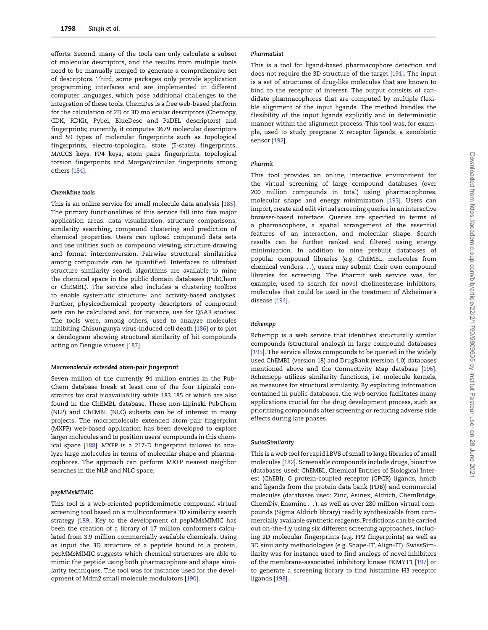efforts. Second, many of the tools can only calculate a subset of molecular descriptors, and the results from multiple tools need to be manually merged to generate a comprehensive set of descriptors. Third, some packages only provide application programming interfaces and are implemented in different computer languages, which pose additional challenges to the integration of these tools. ChemDes is a free web-based platform for the calculation of 2D or 3D molecular descriptors (Chemopy, CDK, RDKit, Pybel, BlueDesc and PaDEL descriptors) and fingerprints; currently, it computes 3679 molecular descriptors and 59 types of molecular fingerprints such as topological fingerprints, electro-topological state (E-state) fingerprints, MACCS keys, FP4 keys, atom pairs fingerprints, topological torsion fingerprints and Morgan/circular fingerprints among others [184].

#### *ChemMine tools*

This is an online service for small molecule data analysis [185]. The primary functionalities of this service fall into five major application areas: data visualization, structure comparisons, similarity searching, compound clustering and prediction of chemical properties. Users can upload compound data sets and use utilities such as compound viewing, structure drawing and format interconversion. Pairwise structural similarities among compounds can be quantified. Interfaces to ultrafast structure similarity search algorithms are available to mine the chemical space in the public domain databases (PubChem or ChEMBL). The service also includes a clustering toolbox to enable systematic structure- and activity-based analyses. Further, physicochemical property descriptors of compound sets can be calculated and, for instance, use for QSAR studies. The tools were, among others, used to analyze molecules inhibiting Chikungunya virus-induced cell death [186] or to plot a dendogram showing structural similarity of hit compounds acting on Dengue viruses [187].

#### *Macromolecule extended atom-pair fingerprint*

Seven million of the currently 94 million entries in the Pub-Chem database break at least one of the four Lipinski constraints for oral bioavailability while 183 185 of which are also found in the ChEMBL database. These non-Lipinski PubChem (NLP) and ChEMBL (NLC) subsets can be of interest in many projects. The macromolecule extended atom-pair fingerprint (MXFP) web-based application has been developed to explore larger molecules and to position users' compounds in this chemical space [188]. MXFP is a 217-D fingerprint tailored to analyze large molecules in terms of molecular shape and pharmacophores. The approach can perform MXFP nearest neighbor searches in the NLP and NLC space.

#### *pepMMsMIMIC*

This tool is a web-oriented peptidomimetic compound virtual screening tool based on a multiconformers 3D similarity search strategy [189]. Key to the development of pepMMsMIMIC has been the creation of a library of 17 million conformers calculated from 3.9 million commercially available chemicals. Using as input the 3D structure of a peptide bound to a protein, pepMMsMIMIC suggests which chemical structures are able to mimic the peptide using both pharmacophore and shape similarity techniques. The tool was for instance used for the development of Mdm2 small molecule modulators [190].

#### *PharmaGist*

This is a tool for ligand-based pharmacophore detection and does not require the 3D structure of the target [191]. The input is a set of structures of drug-like molecules that are known to bind to the receptor of interest. The output consists of candidate pharmacophores that are computed by multiple flexible alignment of the input ligands. The method handles the flexibility of the input ligands explicitly and in deterministic manner within the alignment process. This tool was, for example, used to study pregnane X receptor ligands, a xenobiotic sensor [192].

#### *Pharmit*

This tool provides an online, interactive environment for the virtual screening of large compound databases (over 200 million compounds in total) using pharmacophores, molecular shape and energy minimization [193]. Users can import, create and edit virtual screening queries in an interactive browser-based interface. Queries are specified in terms of a pharmacophore, a spatial arrangement of the essential features of an interaction, and molecular shape. Search results can be further ranked and filtered using energy minimization. In addition to nine prebuilt databases of popular compound libraries (e.g. ChEMBL, molecules from chemical vendors *...* ), users may submit their own compound libraries for screening. The Pharmit web service was, for example, used to search for novel cholinesterase inhibitors, molecules that could be used in the treatment of Alzheimer's disease [194].

#### *Rchempp*

Rchempp is a web service that identifies structurally similar compounds (structural analogs) in large compound databases [195]. The service allows compounds to be queried in the widely used ChEMBL (version 18) and DrugBank (version 4.0) databases mentioned above and the Connectivity Map database [196]. Rchemcpp utilizes similarity functions, i.e. molecule kernels, as measures for structural similarity. By exploiting information contained in public databases, the web service facilitates many applications crucial for the drug development process, such as prioritizing compounds after screening or reducing adverse side effects during late phases.

#### *SwissSimilarity*

This is a web tool for rapid LBVS of small to large libraries of small molecules [182]. Screenable compounds include drugs, bioactive (databases used: ChEMBL, Chemical Entities of Biological Interest (ChEBI), G protein-coupled receptor (GPCR) ligands, hmdb and ligands from the protein data bank (PDB)) and commercial molecules (databases used: Zinc, Asinex, Aldrich, ChemBridge, ChemDiv, Enamine *...* ), as well as over 280 million virtual compounds (Sigma Aldrich library) readily synthesizable from commercially available synthetic reagents. Predictions can be carried out on-the-fly using six different screening approaches, including 2D molecular fingerprints (e.g. FP2 fingerprints) as well as 3D similarity methodologies (e.g. Shape-IT, Align-IT). SwissSimilarity was for instance used to find analogs of novel inhibitors of the membrane-associated inhibitory kinase PKMYT1 [197] or to generate a screening library to find histamine H3 receptor ligands [198].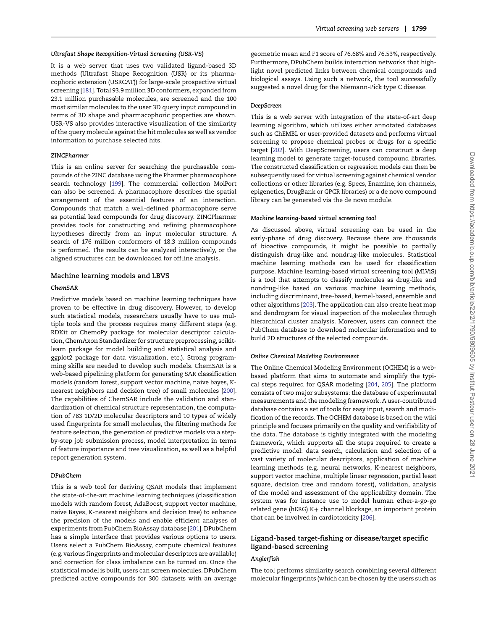#### *Ultrafast Shape Recognition-Virtual Screening (USR-VS)*

It is a web server that uses two validated ligand-based 3D methods (Ultrafast Shape Recognition (USR) or its pharmacophoric extension (USRCAT)) for large-scale prospective virtual screening [181]. Total 93.9 million 3D conformers, expanded from 23.1 million purchasable molecules, are screened and the 100 most similar molecules to the user 3D query input compound in terms of 3D shape and pharmacophoric properties are shown. USR-VS also provides interactive visualization of the similarity of the query molecule against the hit molecules as well as vendor information to purchase selected hits.

## *ZINCPharmer*

This is an online server for searching the purchasable compounds of the ZINC database using the Pharmer pharmacophore search technology [199]. The commercial collection MolPort can also be screened. A pharmacophore describes the spatial arrangement of the essential features of an interaction. Compounds that match a well-defined pharmacophore serve as potential lead compounds for drug discovery. ZINCPharmer provides tools for constructing and refining pharmacophore hypotheses directly from an input molecular structure. A search of 176 million conformers of 18.3 million compounds is performed. The results can be analyzed interactively, or the aligned structures can be downloaded for offline analysis.

## **Machine learning models and LBVS**

#### *ChemSAR*

Predictive models based on machine learning techniques have proven to be effective in drug discovery. However, to develop such statistical models, researchers usually have to use multiple tools and the process requires many different steps (e.g. RDKit or ChemoPy package for molecular descriptor calculation, ChemAxon Standardizer for structure preprocessing, scikitlearn package for model building and statistical analysis and ggplot2 package for data visualization, etc.). Strong programming skills are needed to develop such models. ChemSAR is a web-based pipelining platform for generating SAR classification models (random forest, support vector machine, naive bayes, Knearest neighbors and decision tree) of small molecules [200]. The capabilities of ChemSAR include the validation and standardization of chemical structure representation, the computation of 783 1D/2D molecular descriptors and 10 types of widely used fingerprints for small molecules, the filtering methods for feature selection, the generation of predictive models via a stepby-step job submission process, model interpretation in terms of feature importance and tree visualization, as well as a helpful report generation system.

#### *DPubChem*

This is a web tool for deriving QSAR models that implement the state-of-the-art machine learning techniques (classification models with random forest, AdaBoost, support vector machine, naive Bayes, K-nearest neighbors and decision tree) to enhance the precision of the models and enable efficient analyses of experiments from PubChem BioAssay database [201]. DPubChem has a simple interface that provides various options to users. Users select a PubChem BioAssay, compute chemical features (e.g. various fingerprints and molecular descriptors are available) and correction for class imbalance can be turned on. Once the statistical model is built, users can screen molecules. DPubChem predicted active compounds for 300 datasets with an average geometric mean and F1 score of 76.68% and 76.53%, respectively. Furthermore, DPubChem builds interaction networks that highlight novel predicted links between chemical compounds and biological assays. Using such a network, the tool successfully suggested a novel drug for the Niemann-Pick type C disease.

## *DeepScreen*

This is a web server with integration of the state-of-art deep learning algorithm, which utilizes either annotated databases such as ChEMBL or user-provided datasets and performs virtual screening to propose chemical probes or drugs for a specific target [202]. With DeepScreening, users can construct a deep learning model to generate target-focused compound libraries. The constructed classification or regression models can then be subsequently used for virtual screening against chemical vendor collections or other libraries (e.g. Specs, Enamine, ion channels, epigenetics, DrugBank or GPCR libraries) or a de novo compound library can be generated via the de novo module.

#### *Machine learning-based virtual screening tool*

As discussed above, virtual screening can be used in the early-phase of drug discovery. Because there are thousands of bioactive compounds, it might be possible to partially distinguish drug-like and nondrug-like molecules. Statistical machine learning methods can be used for classification purpose. Machine learning-based virtual screening tool (MLViS) is a tool that attempts to classify molecules as drug-like and nondrug-like based on various machine learning methods, including discriminant, tree-based, kernel-based, ensemble and other algorithms [203]. The application can also create heat map and dendrogram for visual inspection of the molecules through hierarchical cluster analysis. Moreover, users can connect the PubChem database to download molecular information and to build 2D structures of the selected compounds.

#### *Online Chemical Modeling Environment*

The Online Chemical Modeling Environment (OCHEM) is a webbased platform that aims to automate and simplify the typical steps required for QSAR modeling [204, 205]. The platform consists of two major subsystems: the database of experimental measurements and the modeling framework. A user-contributed database contains a set of tools for easy input, search and modification of the records. The OCHEM database is based on the wiki principle and focuses primarily on the quality and verifiability of the data. The database is tightly integrated with the modeling framework, which supports all the steps required to create a predictive model: data search, calculation and selection of a vast variety of molecular descriptors, application of machine learning methods (e.g. neural networks, K-nearest neighbors, support vector machine, multiple linear regression, partial least square, decision tree and random forest), validation, analysis of the model and assessment of the applicability domain. The system was for instance use to model human ether-a-go-go related gene (hERG) K+ channel blockage, an important protein that can be involved in cardiotoxicity [206].

## **Ligand-based target-fishing or disease/target specific ligand-based screening**

## *Anglerfish*

The tool performs similarity search combining several different molecular fingerprints (which can be chosen by the users such as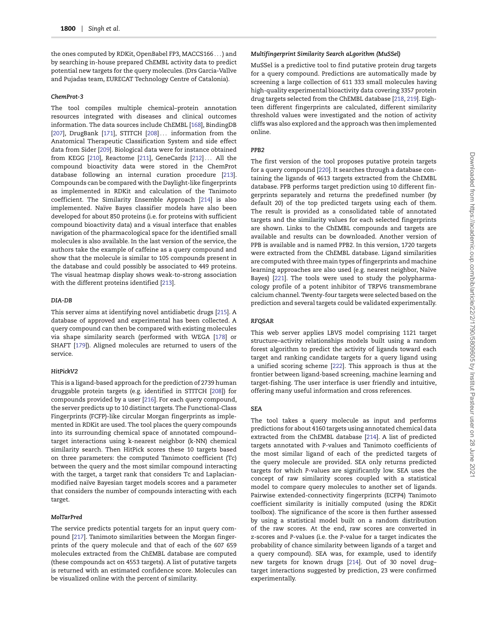the ones computed by RDKit, OpenBabel FP3, MACCS166 *...* ) and by searching in-house prepared ChEMBL activity data to predict potential new targets for the query molecules. (Drs Garcia-Vallve and Pujadas team, EURECAT Technology Centre of Catalonia).

#### *ChemProt-3*

The tool compiles multiple chemical–protein annotation resources integrated with diseases and clinical outcomes information. The data sources include ChEMBL [168], BindingDB [207], DrugBank [171], STITCH [208] *...* information from the Anatomical Therapeutic Classification System and side effect data from Sider [209]. Biological data were for instance obtained from KEGG [210], Reactome [211], GeneCards [212] *...* All the compound bioactivity data were stored in the ChemProt database following an internal curation procedure [213]. Compounds can be compared with the Daylight-like fingerprints as implemented in RDKit and calculation of the Tanimoto coefficient. The Similarity Ensemble Approach [214] is also implemented. Naïve Bayes classifier models have also been developed for about 850 proteins (i.e. for proteins with sufficient compound bioactivity data) and a visual interface that enables navigation of the pharmacological space for the identified small molecules is also available. In the last version of the service, the authors take the example of caffeine as a query compound and show that the molecule is similar to 105 compounds present in the database and could possibly be associated to 449 proteins. The visual heatmap display shows weak-to-strong association with the different proteins identified [213].

#### *DIA-DB*

This server aims at identifying novel antidiabetic drugs [215]. A database of approved and experimental has been collected. A query compound can then be compared with existing molecules via shape similarity search (performed with WEGA [178] or SHAFT [179]). Aligned molecules are returned to users of the service.

#### *HitPickV2*

This is a ligand-based approach for the prediction of 2739 human druggable protein targets (e.g. identified in STITCH [208]) for compounds provided by a user [216]. For each query compound, the server predicts up to 10 distinct targets. The Functional-Class Fingerprints (FCFP)-like circular Morgan fingerprints as implemented in RDKit are used. The tool places the query compounds into its surrounding chemical space of annotated compound– target interactions using k-nearest neighbor (k-NN) chemical similarity search. Then HitPick scores these 10 targets based on three parameters: the computed Tanimoto coefficient (Tc) between the query and the most similar compound interacting with the target, a target rank that considers Tc and Laplacianmodified naïve Bayesian target models scores and a parameter that considers the number of compounds interacting with each target.

#### *MolTarPred*

The service predicts potential targets for an input query compound [217]. Tanimoto similarities between the Morgan fingerprints of the query molecule and that of each of the 607 659 molecules extracted from the ChEMBL database are computed (these compounds act on 4553 targets). A list of putative targets is returned with an estimated confidence score. Molecules can be visualized online with the percent of similarity.

#### *Multifingerprint Similarity Search aLgorithm (MuSSel)*

MuSSel is a predictive tool to find putative protein drug targets for a query compound. Predictions are automatically made by screening a large collection of 611 333 small molecules having high-quality experimental bioactivity data covering 3357 protein drug targets selected from the ChEMBL database [218, 219]. Eighteen different fingerprints are calculated, different similarity threshold values were investigated and the notion of activity cliffs was also explored and the approach was then implemented online.

#### *PPB2*

The first version of the tool proposes putative protein targets for a query compound [220]. It searches through a database containing the ligands of 4613 targets extracted from the ChEMBL database. PPB performs target prediction using 10 different fingerprints separately and returns the predefined number (by default 20) of the top predicted targets using each of them. The result is provided as a consolidated table of annotated targets and the similarity values for each selected fingerprints are shown. Links to the ChEMBL compounds and targets are available and results can be downloaded. Another version of PPB is available and is named PPB2. In this version, 1720 targets were extracted from the ChEMBL database. Ligand similarities are computed with three main types of fingerprints and machine learning approaches are also used (e.g. nearest neighbor, Naïve Bayes) [221]. The tools were used to study the polypharmacology profile of a potent inhibitor of TRPV6 transmembrane calcium channel. Twenty-four targets were selected based on the prediction and several targets could be validated experimentally.

#### *RFQSAR*

This web server applies LBVS model comprising 1121 target structure–activity relationships models built using a random forest algorithm to predict the activity of ligands toward each target and ranking candidate targets for a query ligand using a unified scoring scheme [222]. This approach is thus at the frontier between ligand-based screening, machine learning and target-fishing. The user interface is user friendly and intuitive, offering many useful information and cross references.

#### *SEA*

The tool takes a query molecule as input and performs predictions for about 4160 targets using annotated chemical data extracted from the ChEMBL database [214]. A list of predicted targets annotated with *P*-values and Tanimoto coefficients of the most similar ligand of each of the predicted targets of the query molecule are provided. SEA only returns predicted targets for which *P*-values are significantly low. SEA uses the concept of raw similarity scores coupled with a statistical model to compare query molecules to another set of ligands. Pairwise extended-connectivity fingerprints (ECFP4) Tanimoto coefficient similarity is initially computed (using the RDKit toolbox). The significance of the score is then further assessed by using a statistical model built on a random distribution of the raw scores. At the end, raw scores are converted in z-scores and *P*-values (i.e. the *P*-value for a target indicates the probability of chance similarity between ligands of a target and a query compound). SEA was, for example, used to identify new targets for known drugs [214]. Out of 30 novel drug– target interactions suggested by prediction, 23 were confirmed experimentally.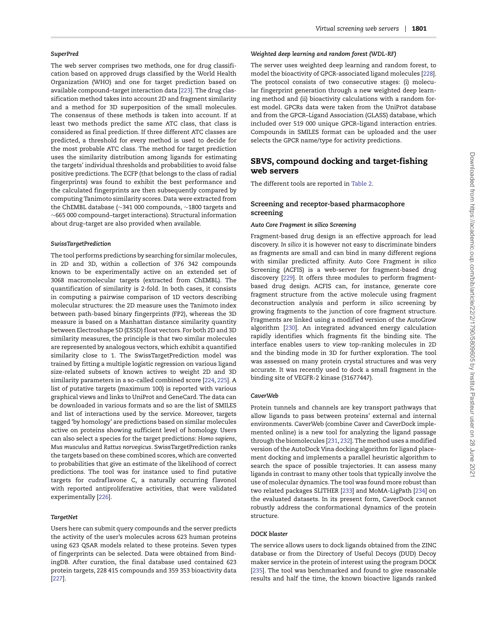#### *SuperPred*

The web server comprises two methods, one for drug classification based on approved drugs classified by the World Health Organization (WHO) and one for target prediction based on available compound–target interaction data [223]. The drug classification method takes into account 2D and fragment similarity and a method for 3D superposition of the small molecules. The consensus of these methods is taken into account. If at least two methods predict the same ATC class, that class is considered as final prediction. If three different ATC classes are predicted, a threshold for every method is used to decide for the most probable ATC class. The method for target prediction uses the similarity distribution among ligands for estimating the targets' individual thresholds and probabilities to avoid false positive predictions. The ECFP (that belongs to the class of radial fingerprints) was found to exhibit the best performance and the calculated fingerprints are then subsequently compared by computing Tanimoto similarity scores. Data were extracted from the ChEMBL database (∼341 000 compounds, ∼1800 targets and ∼665 000 compound–target interactions). Structural information about drug–target are also provided when available.

#### *SwissTargetPrediction*

The tool performs predictions by searching for similar molecules, in 2D and 3D, within a collection of 376 342 compounds known to be experimentally active on an extended set of 3068 macromolecular targets (extracted from ChEMBL). The quantification of similarity is 2-fold. In both cases, it consists in computing a pairwise comparison of 1D vectors describing molecular structures: the 2D measure uses the Tanimoto index between path-based binary fingerprints (FP2), whereas the 3D measure is based on a Manhattan distance similarity quantity between Electroshape 5D (ES5D) f loat vectors. For both 2D and 3D similarity measures, the principle is that two similar molecules are represented by analogous vectors, which exhibit a quantified similarity close to 1. The SwissTargetPrediction model was trained by fitting a multiple logistic regression on various ligand size-related subsets of known actives to weight 2D and 3D similarity parameters in a so-called combined score [224, 225]. A list of putative targets (maximum 100) is reported with various graphical views and links to UniProt and GeneCard. The data can be downloaded in various formats and so are the list of SMILES and list of interactions used by the service. Moreover, targets tagged 'by homology' are predictions based on similar molecules active on proteins showing sufficient level of homology. Users can also select a species for the target predictions: *Homo sapiens*, *Mus musculus* and *Rattus norvegicus*. SwissTargetPrediction ranks the targets based on these combined scores, which are converted to probabilities that give an estimate of the likelihood of correct predictions. The tool was for instance used to find putative targets for cudraflavone C, a naturally occurring flavonol with reported antiproliferative activities, that were validated experimentally [226].

## *TargetNet*

Users here can submit query compounds and the server predicts the activity of the user's molecules across 623 human proteins using 623 QSAR models related to these proteins. Seven types of fingerprints can be selected. Data were obtained from BindingDB. After curation, the final database used contained 623 protein targets, 228 415 compounds and 359 353 bioactivity data [227].

#### *Weighted deep learning and random forest (WDL-RF)*

The server uses weighted deep learning and random forest, to model the bioactivity of GPCR-associated ligand molecules [228]. The protocol consists of two consecutive stages: (i) molecular fingerprint generation through a new weighted deep learning method and (ii) bioactivity calculations with a random forest model. GPCRs data were taken from the UniProt database and from the GPCR–Ligand Association (GLASS) database, which included over 519 000 unique GPCR–ligand interaction entries. Compounds in SMILES format can be uploaded and the user selects the GPCR name/type for activity predictions.

## **SBVS, compound docking and target-fishing web servers**

The different tools are reported in Table 2.

## **Screening and receptor-based pharmacophore screening**

#### *Auto Core Fragment in silico Screening*

Fragment-based drug design is an effective approach for lead discovery. *In silico* it is however not easy to discriminate binders as fragments are small and can bind in many different regions with similar predicted affinity. Auto Core Fragment *in silico* Screening (ACFIS) is a web-server for fragment-based drug discovery [229]. It offers three modules to perform fragmentbased drug design. ACFIS can, for instance, generate core fragment structure from the active molecule using fragment deconstruction analysis and perform *in silico* screening by growing fragments to the junction of core fragment structure. Fragments are linked using a modified version of the AutoGrow algorithm [230]. An integrated advanced energy calculation rapidly identifies which fragments fit the binding site. The interface enables users to view top-ranking molecules in 2D and the binding mode in 3D for further exploration. The tool was assessed on many protein crystal structures and was very accurate. It was recently used to dock a small fragment in the binding site of VEGFR-2 kinase (31677447).

#### *CaverWeb*

Protein tunnels and channels are key transport pathways that allow ligands to pass between proteins' external and internal environments. CaverWeb (combine Caver and CaverDock implemented online) is a new tool for analyzing the ligand passage through the biomolecules [231, 232]. The method uses a modified version of the AutoDock Vina docking algorithm for ligand placement docking and implements a parallel heuristic algorithm to search the space of possible trajectories. It can assess many ligands in contrast to many other tools that typically involve the use of molecular dynamics. The tool was found more robust than two related packages SLITHER [233] and MoMA-LigPath [234] on the evaluated datasets. In its present form, CaverDock cannot robustly address the conformational dynamics of the protein structure.

#### *DOCK blaster*

The service allows users to dock ligands obtained from the ZINC database or from the Directory of Useful Decoys (DUD) Decoy maker service in the protein of interest using the program DOCK [235]. The tool was benchmarked and found to give reasonable results and half the time, the known bioactive ligands ranked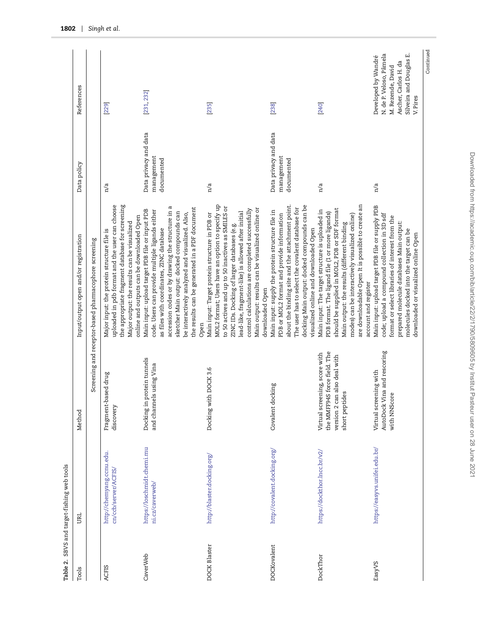|                     | Table 2. SBVS and target-fishing web tools        |                                                                                                                 |                                                                                                                                                                                                                                                                                                                                                                                      |                                                   |                                                                                                                                    |
|---------------------|---------------------------------------------------|-----------------------------------------------------------------------------------------------------------------|--------------------------------------------------------------------------------------------------------------------------------------------------------------------------------------------------------------------------------------------------------------------------------------------------------------------------------------------------------------------------------------|---------------------------------------------------|------------------------------------------------------------------------------------------------------------------------------------|
| Tools               | URL                                               | Method                                                                                                          | Input/output open and/or registration                                                                                                                                                                                                                                                                                                                                                | Data policy                                       | References                                                                                                                         |
|                     |                                                   |                                                                                                                 | Screening and receptor-based pharmacophore screening                                                                                                                                                                                                                                                                                                                                 |                                                   |                                                                                                                                    |
| <b>ACFIS</b>        | http://chemyang.ccnu.edu.<br>cn/ccb/server/ACFIS/ | based drug<br>Fragment-<br>discovery                                                                            | uploaded in pdb format and the user can choose<br>the appropriate fragment database for screening<br>online and outputs can be downloaded Open<br>Major output: the results can be visualized<br>Major input: the protein structure file is                                                                                                                                          | n/a                                               | [229]                                                                                                                              |
| CaverWeb            | https://loschmidt.chemi.mu<br>ni.cz/caverweb/     | protein tunnels<br>and channels using Vina<br>Docking in                                                        | accession codes or by drawing the structure in a<br>the results can be generated in a PDF document<br>Main input: upload target PDB file or input PDB<br>code. Users can provide multiple ligands either<br>sketcher Main output: docked compounds can<br>be interactively analyzed and visualized. Also,<br>as files with coordinates, ZINC database<br>Open                        | Data privacy and data<br>management<br>documented | [231, 232]                                                                                                                         |
| <b>DOCK Blaster</b> | http://blaster.docking.org/                       | Docking with DOCK 3.6                                                                                           | MOL2 format; Users have an option to specify up<br>to 50 actives and up to 50 inactives as SMILES or<br>Main output: results can be visualized online or<br>control calculations are completed successfully<br>ead-like, fragment-like) is allowed after initial<br>Main input: Target protein structure in PDB or<br>ZINC IDs. Docking of larger databases (e.g.<br>downloaded Open | n/a                                               | [235]                                                                                                                              |
| DOCKovalent         | http://covalent.docking.org/                      | Covalent docking                                                                                                | about the binding site and the attachment point.<br>docking Main output: docked compounds can be<br>The user has to select the covalent database for<br>Main input: supply the protein structure file in<br>PDB or MOL2 format and provide information<br>visualized online and downloaded Open                                                                                      | Data privacy and data<br>management<br>documented | [238]                                                                                                                              |
| DockThor            | https://dockthor.lncc.br/v2/                      | the MMFF94S force field. The<br>Virtual screening, score with<br>version 2 can also deal with<br>short peptides | are downloadable Open It is possible to create an<br>should be supplied in MOL2, PDB or SDF format<br>Main input: The target structure is uploaded in<br>PDB format. The ligand file (1 or more ligands)<br>modes) can be interactively visualized online)<br>Main output: the results (different binding<br>account and register                                                    | n/a                                               | 240                                                                                                                                |
| EasyVS              | https://easyvs.unifei.edu.br/                     | AutoDock Vina and rescoring<br>Virtual screening with<br>with NNScore                                           | Main input: upload target PDB file or supply PDB<br>code; upload a compound collection in 3D sdf<br>format or select libraries of interest from the<br>prepared molecule databases Main output:<br>molecules docked into the target can be<br>downloaded or visualized online Open                                                                                                   | n/a                                               | N. de P. Veloso, Pâmela<br>Silveira and Douglas E.<br>Developed by Wandré<br>Ascher, Carlos H. da<br>M. Rezende, David<br>V. Pires |
|                     |                                                   |                                                                                                                 |                                                                                                                                                                                                                                                                                                                                                                                      |                                                   | Continued                                                                                                                          |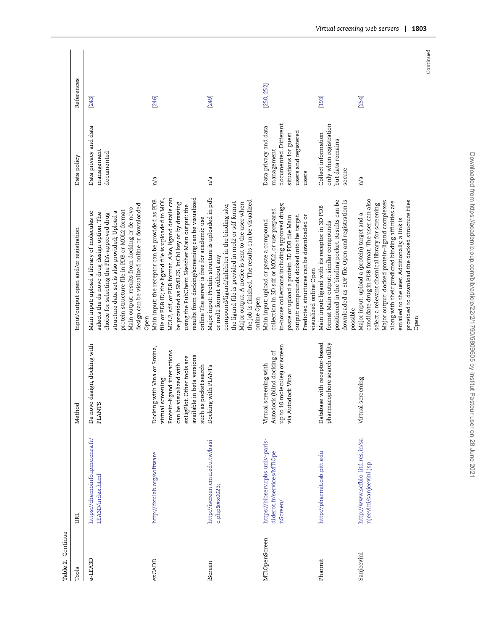| Table 2. Continue |                                                                            |                                                                                                                                                                                                 |                                                                                                                                                                                                                                                                                                                                                                      |                                                                                                                       |            |
|-------------------|----------------------------------------------------------------------------|-------------------------------------------------------------------------------------------------------------------------------------------------------------------------------------------------|----------------------------------------------------------------------------------------------------------------------------------------------------------------------------------------------------------------------------------------------------------------------------------------------------------------------------------------------------------------------|-----------------------------------------------------------------------------------------------------------------------|------------|
| Tools             | E                                                                          | Method                                                                                                                                                                                          | Input/output open and/or registration                                                                                                                                                                                                                                                                                                                                | Data policy                                                                                                           | References |
| e-LEA3D           | https://chemoinfo.ipmc.cnrs.fr/<br>LEA3D/index.html                        | design, docking with<br>De novo<br><b>PLANTS</b>                                                                                                                                                | design can be visualized online or downloaded<br>Main output: results from docking or de novo<br>protein structure file in PDB or MOL2 format<br>structure data set is also provided; Upload a<br>Main input: upload a library of molecules or<br>selects the de novo drug design option. The<br>choice for selecting the FDA-approved drug<br>Open                  | Data privacy and data<br>management<br>documented                                                                     | [243]      |
| ezCADD            | http://dxulab.org/software                                                 | Docking with Vina or Smina,<br>Protein-ligand interactions<br>available in beta versions<br>ezLigPlot. Other tools are<br>can be visualized with<br>such as pocket search<br>virtual screening. | results from docking/screening can be visualized<br>MOL2, sdf, or PDB format. Also, ligand details can<br>file or PDB ID; the ligand file is uploaded in MOL,<br>Main input: the receptor can be provided as PDB<br>be provided as SMILES, InChI key or by drawing<br>using the PubChem Sketcher Main output: the<br>online The server is free for academic use      | n/a                                                                                                                   | 246        |
| iScreen           | http://iscreen.cmu.edu.tw/basi<br>c.php#                                   | Docking with PLANTs                                                                                                                                                                             | Major input: Protein structure is uploaded in pdb<br>the job is finished. The results can be visualized<br>the ligand file is provided in mol2 or sdf format<br>Major output: A notice is sent to the user when<br>compound/ligand/inhibitor in the binding site;<br>or mol2 format without any<br>online Open                                                       | n/a                                                                                                                   | [249]      |
| MTiOpenScreen     | https://bioserv.rpbs.univ-paris-<br>diderot.fr/services/MTiOpe<br>nScreen/ | molecules) or screen<br>Autodock (blind docking of<br>creening with<br>via Autodock Vina<br>Virtual <sub>s</sub><br>up to 10                                                                    | in-house collections including approved drugs;<br>collection in 3D sdf or MOL2, or use prepared<br>output: compounds docked into the target.<br>Predicted structures can be downloaded or<br>paste or upload a protein 3D PDB file Main<br>Main input: upload or paste a compound<br>visualized online Open                                                          | documented. Different<br>Data privacy and data<br>users and registered<br>situations for guest<br>management<br>users | [250, 252] |
| Pharmit           | http://pharmit.csb.pitt.edu                                                | Database with receptor-based<br>pharmacophore search utility                                                                                                                                    | downloaded as SDF file Open and registration is<br>positioned in the binding pocket. Results can be<br>Main input: ligand with its receptor in 3D PDB<br>format Main output: similar compounds<br>possible                                                                                                                                                           | only when registration<br>Collect information<br>but data remains<br>secure                                           | [193]      |
| Sanjeevini        | http://www.scfbio-iitd.res.in/sa<br>njeevini/sanjeevini.jsp                | Virtual screening                                                                                                                                                                               | candidate drug in PDB format. The user can also<br>provided to download the docked structure files<br>Major output: docked protein-ligand complexes<br>along with their predicted binding affinities are<br>select a relevant chemical library for screening<br>Major input: upload a (protein) target and a<br>emailed to the user. Additionally, a link is<br>Open | n/a                                                                                                                   | [254]      |
|                   |                                                                            |                                                                                                                                                                                                 |                                                                                                                                                                                                                                                                                                                                                                      |                                                                                                                       | Continued  |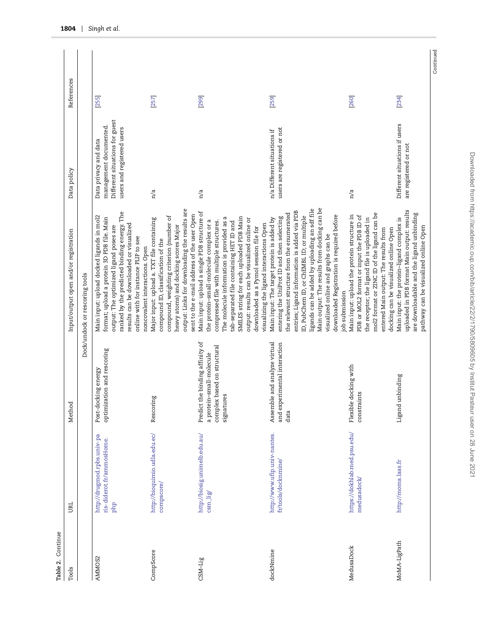| Continue<br>Table 2. |                                                                 |                                                                                                          |                                                                                                                                                                                                                                                                                                                                                                                                                                             |                                                                                                                 |            |
|----------------------|-----------------------------------------------------------------|----------------------------------------------------------------------------------------------------------|---------------------------------------------------------------------------------------------------------------------------------------------------------------------------------------------------------------------------------------------------------------------------------------------------------------------------------------------------------------------------------------------------------------------------------------------|-----------------------------------------------------------------------------------------------------------------|------------|
| Tools                | E                                                               | Method                                                                                                   | input/output open and/or registration                                                                                                                                                                                                                                                                                                                                                                                                       | Data policy                                                                                                     | References |
|                      |                                                                 |                                                                                                          | Dock/undock or rescoring tools                                                                                                                                                                                                                                                                                                                                                                                                              |                                                                                                                 |            |
| AMMOS2               | http://drugmod.rpbs.univ-pa<br>ris-diderot.fr/ammosHome.<br>php | optimization and rescoring<br>king energy<br>Post-doc                                                    | ranked by the predicted binding energy. The<br>Main input: upload docked ligands in mol2<br>format; upload a protein 3D PDB file. Main<br>results can be downloaded or visualized<br>output: The optimized ligand poses are<br>online with for instance PLIP to see<br>noncovalent interactions. Open                                                                                                                                       | Different situations for guest<br>management documented.<br>users and registered users<br>Data privacy and data | [25]       |
| CompScore            | http://bioquimio.udla.edu.ec/<br>compscore/                     | bо<br>Rescorin                                                                                           | output: Links for downloading the results are<br>sent to the e-mail address of the user Open<br>compound, weighting criterion (number of<br>Major input: upload a. TXT file containing<br>heavy atoms) and docking scores Major<br>compound ID, classification of the                                                                                                                                                                       | n/a                                                                                                             | [257]      |
| $CSM-Lig$            | http://biosig.unimelb.edu.au/<br>$\text{csm\_lig}$              | Predict the binding affinity of<br>complex based on structural<br>a protein-small-molecule<br>signatures | Main input: upload a single PDB structure of<br>The molecule information is provided as a<br>SMILES string for each uploaded PDB Main<br>output: results can be visualized online or<br>the protein-small-molecule complex or a<br>compressed file with multiple structures.<br>tab-separated file containing HET ID and<br>visualizing the ligand interactions Open<br>downloaded as a Pymol session file for                              | n/a                                                                                                             | [299]      |
| dockNmine            | http://www.ufip.univ-nantes.<br>fr/tools/docknmine/             | Assemble and analyze virtual<br>and experimental interaction<br>data                                     | Main output: The results from docking can be<br>ligands can be added by uploading an sdf file<br>entries; Ligand information is added via PDB<br>the relevant structure from the enumerated<br>downloaded Registration is required before<br>ID, PubChem ID, or ChEMBL ID; or multiple<br>entering the UniProt ID and then selecting<br>Main input: The target protein is added by<br>visualized online and graphs can be<br>job submission | users are registered or not<br>n/a Different situations if                                                      | [259]      |
| MedusaDock           | https://dokhlab.med.psu.edu/<br>medusadock                      | Flexible docking with<br>constraints                                                                     | mol2 format or ZINC ID of the ligand can be<br>Main input: upload the protein structure in<br>PDB or MOL2 format or input the PDB ID of<br>the receptor; the ligand file is uploaded in<br>docking can be visualized online Open<br>entered Main output: The results from                                                                                                                                                                   | n/a                                                                                                             | [260]      |
| MoMA-LigPath         | http://moma.laas.fr                                             | Ligand unbinding                                                                                         | uploaded in PDB format Main output: results<br>are downloadable and the ligand unbinding<br>Main input: the protein-ligand complex is<br>pathway can be visualized online Open                                                                                                                                                                                                                                                              | Different situations if users<br>are registered or not                                                          | [234]      |
|                      |                                                                 |                                                                                                          |                                                                                                                                                                                                                                                                                                                                                                                                                                             |                                                                                                                 | Continued  |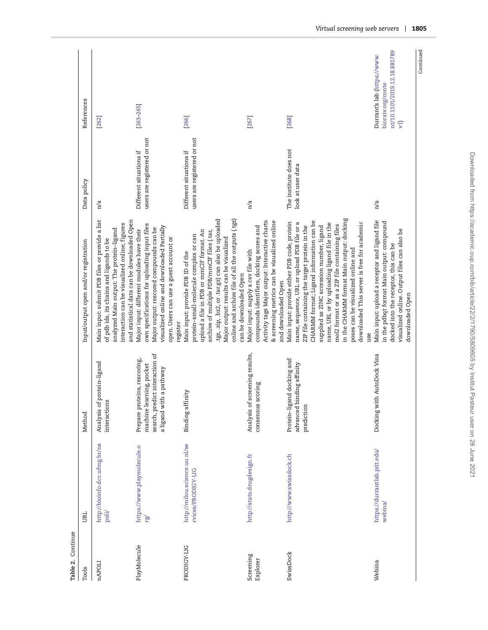| Table 2. Continue     |                                                     |                                                                                                                       |                                                                                                                                                                                                                                                                                                                                                                                                                                                                                 |                                                        |                                                                                                |
|-----------------------|-----------------------------------------------------|-----------------------------------------------------------------------------------------------------------------------|---------------------------------------------------------------------------------------------------------------------------------------------------------------------------------------------------------------------------------------------------------------------------------------------------------------------------------------------------------------------------------------------------------------------------------------------------------------------------------|--------------------------------------------------------|------------------------------------------------------------------------------------------------|
| Tools                 | <b>URL</b>                                          | Method                                                                                                                | Input/output open and/or registration                                                                                                                                                                                                                                                                                                                                                                                                                                           | Data policy                                            | References                                                                                     |
| nAPOLI                | http://bioinfo.dcc.ufmg.br/na<br>poli/              | Analysis of protein-ligand<br>interactions                                                                            | Main input: submit PDB files or provide a list<br>and statistical data can be downloaded Open<br>interaction can be visualized online; figures<br>analyzed Main output: The protein-ligand<br>of pdb ids, its chains and ligands to be                                                                                                                                                                                                                                          | n/a                                                    | [262]                                                                                          |
| PlayMolecule          | https://www.playmolecule.o<br>rg/                   | search, predict interaction of<br>Prepare proteins, rescoring,<br>machine learning, pocket<br>a ligand with a pathway | own specifications for uploading input files<br>visualized online and downloaded Partially<br>Major output: rescored compounds can be<br>Major input: different modules have their<br>open. Users can use a guest account or<br>register                                                                                                                                                                                                                                        | users are registered or not<br>Different situations if | $[263 - 265]$                                                                                  |
| PRODIGY-LIG           | http://milou.science.uu.nl/se<br>rvices/PRODIGY-LIG | Binding affinity                                                                                                      | .tgz, .zip, .bz2, or .tar.gz) can also be uploaded<br>online and archive file of all the outputs (.tgz)<br>upload a file in PDB or mmCIF format. An<br>archive of multiple PDB/mmCIF files (.tar,<br>protein-small-molecule complex or can<br>Major output: results can be visualized<br>Main input: provide PDB ID of the<br>can be downloaded Open                                                                                                                            | users are registered or not<br>Different situations if | [266]                                                                                          |
| Screening<br>Explorer | http://stats.drugdesign.fr                          | Analysis of screening results,<br>consensus scoring                                                                   | Activity tags Major output: Interactive charts<br>& screening metrics can be visualized online<br>compounds identifiers, docking scores and<br>Major input: supply a csv file with<br>and downloaded Open                                                                                                                                                                                                                                                                       | n/a                                                    | [267]                                                                                          |
| SwissDock             | http://www.swissdock.ch                             | id docking and<br>advanced binding affinity<br>Protein-ligar<br>prediction                                            | in the CHARMM format Main output: docking<br>CHARMM format; Ligand information can be<br>Main input: provide either PDB code, protein<br>name, sequence, URL or upload PDB file or a<br>name, URL or by uploading ligand file in the<br>downloaded This server is free for academic<br>mol2 format or as a ZIP file containing files<br>ZIP file containing the target protein in the<br>supplied as ZINC accession number, ligand<br>poses can be visualized online and<br>use | The institute does not<br>look at user data            | 268                                                                                            |
| Webina                | https://durrantlab.pitt.edu/<br>webina              | Docking with AutoDock Vina                                                                                            | Main input: upload a receptor and ligand file<br>in the pdbqt format Main output: compound<br>visualized online. Output files can also be<br>docked into the receptor, this can be<br>downloaded Open                                                                                                                                                                                                                                                                           | n/a                                                    | nt/10.1101/2019.12.18.881789<br>Durrant's lab (https://www.<br>biorxiv.org/conte<br>$\sqrt{1}$ |
|                       |                                                     |                                                                                                                       |                                                                                                                                                                                                                                                                                                                                                                                                                                                                                 |                                                        | Continued                                                                                      |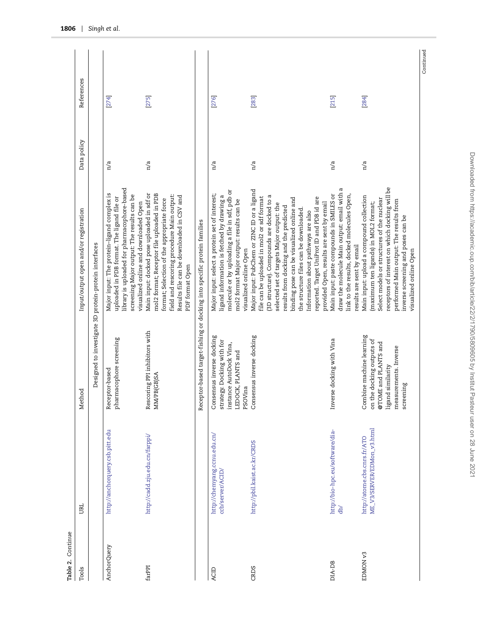| Table 2. Continue   |                                                            |                                                                                                                                                 |                                                                                                                                                                                                                                                                                                                                                                                                                                                       |             |            |
|---------------------|------------------------------------------------------------|-------------------------------------------------------------------------------------------------------------------------------------------------|-------------------------------------------------------------------------------------------------------------------------------------------------------------------------------------------------------------------------------------------------------------------------------------------------------------------------------------------------------------------------------------------------------------------------------------------------------|-------------|------------|
| Tools               | E                                                          | Method                                                                                                                                          | Input/output open and/or registration                                                                                                                                                                                                                                                                                                                                                                                                                 | Data policy | References |
|                     |                                                            |                                                                                                                                                 | Designed to investigate 3D protein-protein interfaces                                                                                                                                                                                                                                                                                                                                                                                                 |             |            |
| AnchorQuery         | http://anchorquery.csb.pitt.edu                            | pharmacophore screening<br>Receptor-based                                                                                                       | library is uploaded for pharmacophore-based<br>Major input: The protein-ligand complex is<br>screening Major output: The results can be<br>uploaded in PDB format. The ligand file or<br>visualized online and downloaded Open                                                                                                                                                                                                                        | n/a         | [274]      |
| farPI               | http://cadd.zju.edu.cn/farppi/                             | Rescoring PPI inhibitors with<br>MM/PB(GB)SA                                                                                                    | mol2 format; Receptor file uploaded in PDB<br>Main input: docked pose uploaded in sdf or<br>field and rescoring procedure Main output:<br>Results file can be downloaded in CSV and<br>format; Selection of the appropriate force<br>PDF format Open                                                                                                                                                                                                  | n/a         | [275]      |
|                     |                                                            |                                                                                                                                                 | Receptor-based target-fishing or docking into specific protein families                                                                                                                                                                                                                                                                                                                                                                               |             |            |
| ACID                | http://chemyang.ccnu.edu.cn/<br>ccb/server/ACID/           | Consensus inverse docking<br>strategy. Docking with for<br>instance AutoDock Vina,<br>LEDOCK, PLANTS and<br>PSOVina                             | molecule or by uploading a file in sdf, pdb or<br>Major input: select a protein set of interest;<br>ligand information is fetched by drawing a<br>mol2 format Major output: results can be<br>visualized online Open                                                                                                                                                                                                                                  | n/a         | [276]      |
| CRDS                | http://pbil.kaist.ac.kr/CRDS                               | Consensus inverse docking                                                                                                                       | Major input: PubChem or ZINC ID or a ligand<br>(3D structure). Compounds are docked to a<br>file can be uploaded in mol2 or sdf format<br>binding pose can be visualized online and<br>reported. Target UniProt ID and PDB id are<br>provided Open, results are sent by email<br>selected set of targets Major output: the<br>results from docking and the predicted<br>the structure files can be downloaded.<br>Information about pathways are also | n/a         | [283]      |
| DIA-DB              | http://bio-hpc.eu/software/dia-<br><b>db/</b>              | rerse docking with Vina<br>Ă                                                                                                                    | $\,$<br>draw the molecule Main output: email with<br>Main input: paste compounds in SMILES or<br>link to the results, docked molecules Open,<br>results are sent by email                                                                                                                                                                                                                                                                             | n/a         | [215]      |
| EDMON <sub>V3</sub> | ME_V3/SERVER/EDMon_v3.html<br>http://atome.cbs.cnrs.fr/ATO | Combine machine learning<br>the docking outputs of<br>@TOME and PLANTS and<br>measurements. Inverse<br>ligand similarity<br>reening<br>S<br>SCI | receptors of interest on which docking will be<br>Main input: upload a compound collection<br>Select models or structures of the nuclear<br>performed Main output: The results from<br>(maximum ten ligands) in MOL2 format;<br>inverse screening and poses can be<br>visualized online Open                                                                                                                                                          | n/a         | [284]      |
|                     |                                                            |                                                                                                                                                 |                                                                                                                                                                                                                                                                                                                                                                                                                                                       |             | Continued  |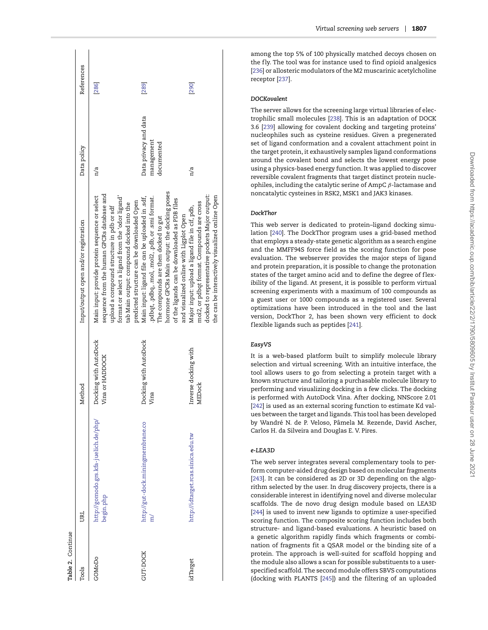| Table 2. Continue |                                                    |                                          |                                                                                                                                                                                                                                                                                          |                                                   |            |
|-------------------|----------------------------------------------------|------------------------------------------|------------------------------------------------------------------------------------------------------------------------------------------------------------------------------------------------------------------------------------------------------------------------------------------|---------------------------------------------------|------------|
| rools             | URL                                                | Method                                   | Input/output open and/or registration                                                                                                                                                                                                                                                    | Data policy                                       | References |
| GOMODo            | http://gomodo.grs.kfa-juelich.de/php/<br>begin.php | Docking with AutoDock<br>Vina or HADDOCK | sequence from the human GPCRs database and<br>Main input: provide protein sequence or select<br>format or select a ligand from the 'odor ligand'<br>predicted structure can be downloaded Open<br>tab Main output: compound docked into the<br>upload a compound structure in pdb or sdf | n/a                                               | [286]      |
| <b>GUT-DOCK</b>   | http://gut-dock.miningmembrane.co                  | Docking with AutoDock<br>Vina            | hormone GPCRs Main output: the docking poses<br>Main input: ligand file can be uploaded in .sdf,<br>pdbqt, .pdbq, .mol, .mol2, .pdb, or .smi format.<br>of the ligands can be downloaded as PDB files<br>and visualized online with Ligplot Open<br>The compounds are then docked to gut | Data privacy and data<br>management<br>documented | [289]      |
| dTarget           | http://idtarget.rcas.sinica.edu.tw                 | Inverse docking with<br>MEDock           | docked to representative pockets Major output:<br>the can be interactively visualized online Open<br>mol2, or pdbqt format. Compounds are cross<br>Major input: upload a ligand file in cif, pdb,                                                                                        | n/a                                               | [290]      |

among the top 5% of 100 physically matched decoys chosen on the fly. The tool was for instance used to find opioid analgesics [236] or allosteric modulators of the M2 muscarinic acetylcholine receptor [237].

## *DOCKovalent*

The server allows for the screening large virtual libraries of electrophilic small molecules [238]. This is an adaptation of DOCK 3.6 [239] allowing for covalent docking and targeting proteins' nucleophiles such as cysteine residues. Given a pregenerated set of ligand conformation and a covalent attachment point in the target protein, it exhaustively samples ligand conformations around the covalent bond and selects the lowest energy pose using a physics-based energy function. It was applied to discover reversible covalent fragments that target distinct protein nucleophiles, including the catalytic serine of AmpC *β*-lactamase and noncatalytic cysteines in RSK2, MSK1 and JAK3 kinases.

## *DockThor*

This web server is dedicated to protein–ligand docking simulation [240]. The DockThor program uses a grid-based method that employs a steady-state genetic algorithm as a search engine and the MMFF94S force field as the scoring function for pose evaluation. The webserver provides the major steps of ligand and protein preparation, it is possible to change the protonation states of the target amino acid and to define the degree of flexibility of the ligand. At present, it is possible to perform virtual screening experiments with a maximum of 100 compounds as a guest user or 1000 compounds as a registered user. Several optimizations have been introduced in the tool and the last version, DockThor 2, has been shown very efficient to dock flexible ligands such as peptides [241].

## *EasyVS*

It is a web-based platform built to simplify molecule library selection and virtual screening. With an intuitive interface, the tool allows users to go from selecting a protein target with a known structure and tailoring a purchasable molecule library to performing and visualizing docking in a few clicks. The docking is performed with AutoDock Vina. After docking, NNScore 2.01 [242] is used as an external scoring function to estimate Kd values between the target and ligands. This tool has been developed by Wandré N. de P. Veloso, Pâmela M. Rezende, David Ascher, Carlos H. da Silveira and Douglas E. V. Pires.

## *e-LEA3D*

The web server integrates several complementary tools to perform computer-aided drug design based on molecular fragments [243]. It can be considered as 2D or 3D depending on the algorithm selected by the user. In drug discovery projects, there is a considerable interest in identifying novel and diverse molecular scaffolds. The de novo drug design module based on LEA3D [244] is used to invent new ligands to optimize a user-specified scoring function. The composite scoring function includes both structure- and ligand-based evaluations. A heuristic based on a genetic algorithm rapidly finds which fragments or combination of fragments fit a QSAR model or the binding site of a protein. The approach is well-suited for scaffold hopping and the module also allows a scan for possible substituents to a userspecified scaffold. The second module offers SBVS computations (docking with PLANTS [245]) and the filtering of an uploaded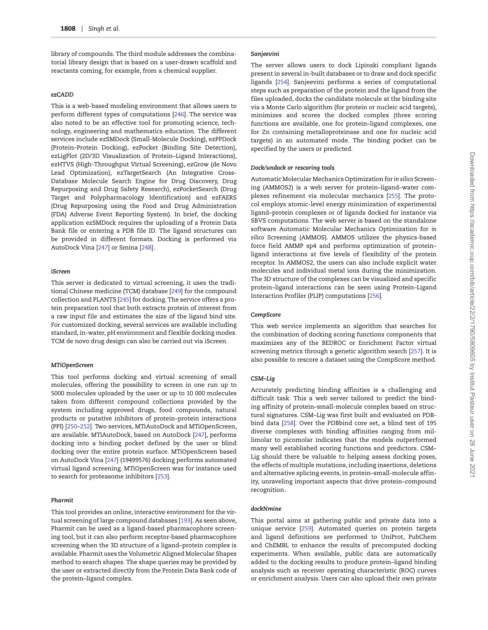library of compounds. The third module addresses the combinatorial library design that is based on a user-drawn scaffold and reactants coming, for example, from a chemical supplier.

#### *ezCADD*

This is a web-based modeling environment that allows users to perform different types of computations [246]. The service was also noted to be an effective tool for promoting science, technology, engineering and mathematics education. The different services include ezSMDock (Small-Molecule Docking), ezPPDock (Protein–Protein Docking), ezPocket (Binding Site Detection), ezLigPlot (2D/3D Visualization of Protein–Ligand Interactions), ezHTVS (High-Throughput Virtual Screening), ezGrow (de Novo Lead Optimization), ezTargetSearch (An Integrative Cross-Database Molecule Search Engine for Drug Discovery, Drug Repurposing and Drug Safety Research), ezPocketSearch (Drug Target and Polypharmacology Identification) and ezFAERS (Drug Repurposing using the Food and Drug Administration (FDA) Adverse Event Reporting System). In brief, the docking application ezSMDock requires the uploading of a Protein Data Bank file or entering a PDB file ID. The ligand structures can be provided in different formats. Docking is performed via AutoDock Vina [247] or Smina [248].

#### *iScreen*

This server is dedicated to virtual screening, it uses the traditional Chinese medicine (TCM) database [249] for the compound collection and PLANTS [245] for docking. The service offers a protein preparation tool that both extracts protein of interest from a raw input file and estimates the size of the ligand bind site. For customized docking, several services are available including standard, in-water, pH environment and flexible docking modes. TCM de novo drug design can also be carried out via iScreen.

#### *MTiOpenScreen*

This tool performs docking and virtual screening of small molecules, offering the possibility to screen in one run up to 5000 molecules uploaded by the user or up to 10 000 molecules taken from different compound collections provided by the system including approved drugs, food compounds, natural products or putative inhibitors of protein–protein interactions (PPI) [250–252]. Two services, MTiAutoDock and MTiOpenScreen, are available. MTiAutoDock, based on AutoDock [247], performs docking into a binding pocket defined by the user or blind docking over the entire protein surface. MTiOpenScreen based on AutoDock Vina [247] (19499576) docking performs automated virtual ligand screening. MTiOpenScreen was for instance used to search for proteasome inhibitors [253].

#### *Pharmit*

This tool provides an online, interactive environment for the virtual screening of large compound databases [193]. As seen above, Pharmit can be used as a ligand-based pharmacophore screening tool, but it can also perform receptor-based pharmacophore screening when the 3D structure of a ligand–protein complex is available. Pharmit uses the Volumetric Aligned Molecular Shapes method to search shapes. The shape queries may be provided by the user or extracted directly from the Protein Data Bank code of the protein–ligand complex.

The server allows users to dock Lipinski compliant ligands present in several in-built databases or to draw and dock specific ligands [254]. Sanjeevini performs a series of computational steps such as preparation of the protein and the ligand from the files uploaded, docks the candidate molecule at the binding site via a Monte Carlo algorithm (for protein or nucleic acid targets), minimizes and scores the docked complex (three scoring functions are available, one for protein–ligand complexes, one for Zn containing metalloproteinase and one for nucleic acid targets) in an automated mode. The binding pocket can be specified by the users or predicted.

#### *Dock/undock or rescoring tools*

Automatic Molecular Mechanics Optimization for *in silico* Screening (AMMOS2) is a web server for protein–ligand–water complexes refinement via molecular mechanics [255]. The protocol employs atomic-level energy minimization of experimental ligand–protein complexes or of ligands docked for instance via SBVS computations. The web server is based on the standalone software Automatic Molecular Mechanics Optimization for *in silico* Screening (AMMOS). AMMOS utilizes the physics-based force field AMMP sp4 and performs optimization of protein– ligand interactions at five levels of flexibility of the protein receptor. In AMMOS2, the users can also include explicit water molecules and individual metal ions during the minimization. The 3D structure of the complexes can be visualized and specific protein–ligand interactions can be seen using Protein–Ligand Interaction Profiler (PLIP) computations [256].

#### *CompScore*

This web service implements an algorithm that searches for the combination of docking scoring functions components that maximizes any of the BEDROC or Enrichment Factor virtual screening metrics through a genetic algorithm search [257]. It is also possible to rescore a dataset using the CompScore method.

#### *CSM–Lig*

Accurately predicting binding affinities is a challenging and difficult task. This a web server tailored to predict the binding affinity of protein–small-molecule complex based on structural signatures. CSM–Lig was first built and evaluated on PDBbind data [258]. Over the PDBbind core set, a blind test of 195 diverse complexes with binding affinities ranging from millimolar to picomolar indicates that the models outperformed many well established scoring functions and predictors. CSM– Lig should there be valuable to helping assess docking poses, the effects of multiple mutations, including insertions, deletions and alternative splicing events, in protein–small-molecule affinity, unraveling important aspects that drive protein–compound recognition.

#### *dockNmine*

This portal aims at gathering public and private data into a unique service [259]. Automated queries on protein targets and ligand definitions are performed to UniProt, PubChem and ChEMBL to enhance the results of precomputed docking experiments. When available, public data are automatically added to the docking results to produce protein–ligand binding analysis such as receiver operating characteristic (ROC) curves or enrichment analysis. Users can also upload their own private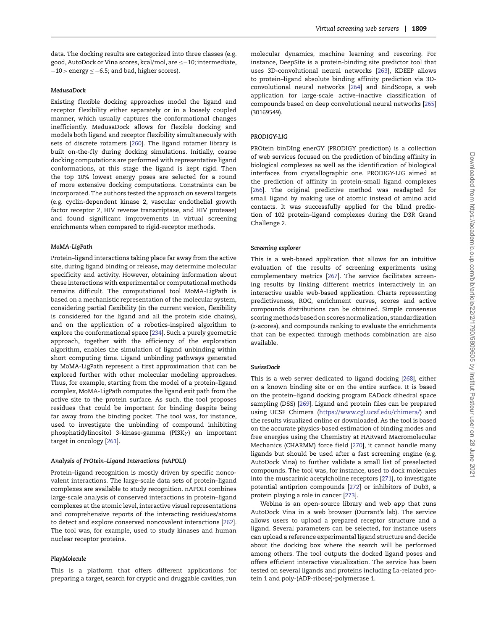data. The docking results are categorized into three classes (e.g. good, AutoDock or Vina scores, kcal/mol, are ≤−10; intermediate,

−10 *>* energy ≤ −6.5; and bad, higher scores).

## *MedusaDock*

Existing flexible docking approaches model the ligand and receptor flexibility either separately or in a loosely coupled manner, which usually captures the conformational changes inefficiently. MedusaDock allows for flexible docking and models both ligand and receptor flexibility simultaneously with sets of discrete rotamers [260]. The ligand rotamer library is built on-the-fly during docking simulations. Initially, coarse docking computations are performed with representative ligand conformations, at this stage the ligand is kept rigid. Then the top 10% lowest energy poses are selected for a round of more extensive docking computations. Constraints can be incorporated. The authors tested the approach on several targets (e.g. cyclin-dependent kinase 2, vascular endothelial growth factor receptor 2, HIV reverse transcriptase, and HIV protease) and found significant improvements in virtual screening enrichments when compared to rigid-receptor methods.

#### *MoMA-LigPath*

Protein–ligand interactions taking place far away from the active site, during ligand binding or release, may determine molecular specificity and activity. However, obtaining information about these interactions with experimental or computational methods remains difficult. The computational tool MoMA-LigPath is based on a mechanistic representation of the molecular system, considering partial flexibility (in the current version, flexibility is considered for the ligand and all the protein side chains), and on the application of a robotics-inspired algorithm to explore the conformational space [234]. Such a purely geometric approach, together with the efficiency of the exploration algorithm, enables the simulation of ligand unbinding within short computing time. Ligand unbinding pathways generated by MoMA-LigPath represent a first approximation that can be explored further with other molecular modeling approaches. Thus, for example, starting from the model of a protein–ligand complex, MoMA-LigPath computes the ligand exit path from the active site to the protein surface. As such, the tool proposes residues that could be important for binding despite being far away from the binding pocket. The tool was, for instance, used to investigate the unbinding of compound inhibiting phosphatidylinositol 3-kinase-gamma (PI3K<sub>γ</sub>) an important target in oncology [261].

#### *Analysis of PrOtein–Ligand Interactions (nAPOLI)*

Protein–ligand recognition is mostly driven by specific noncovalent interactions. The large-scale data sets of protein–ligand complexes are available to study recognition. nAPOLI combines large-scale analysis of conserved interactions in protein–ligand complexes at the atomic level, interactive visual representations and comprehensive reports of the interacting residues/atoms to detect and explore conserved noncovalent interactions [262]. The tool was, for example, used to study kinases and human nuclear receptor proteins.

## *PlayMolecule*

This is a platform that offers different applications for preparing a target, search for cryptic and druggable cavities, run molecular dynamics, machine learning and rescoring. For instance, DeepSite is a protein-binding site predictor tool that uses 3D-convolutional neural networks [263], KDEEP allows to protein–ligand absolute binding affinity prediction via 3Dconvolutional neural networks [264] and BindScope, a web application for large-scale active–inactive classification of compounds based on deep convolutional neural networks [265] (30169549).

## *PRODIGY-LIG*

PROtein binDIng enerGY (PRODIGY prediction) is a collection of web services focused on the prediction of binding affinity in biological complexes as well as the identification of biological interfaces from crystallographic one. PRODIGY-LIG aimed at the prediction of affinity in protein-small ligand complexes [266]. The original predictive method was readapted for small ligand by making use of atomic instead of amino acid contacts. It was successfully applied for the blind prediction of 102 protein–ligand complexes during the D3R Grand Challenge 2.

## *Screening explorer*

This is a web-based application that allows for an intuitive evaluation of the results of screening experiments using complementary metrics [267]. The service facilitates screening results by linking different metrics interactively in an interactive usable web-based application. Charts representing predictiveness, ROC, enrichment curves, scores and active compounds distributions can be obtained. Simple consensus scoring methods based on scores normalization, standardization (*z*-scores), and compounds ranking to evaluate the enrichments that can be expected through methods combination are also available.

#### *SwissDock*

This is a web server dedicated to ligand docking [268], either on a known binding site or on the entire surface. It is based on the protein–ligand docking program EADock dihedral space sampling (DSS) [269]. Ligand and protein files can be prepared using UCSF Chimera [\(https://www.cgl.ucsf.edu/chimera/\)](https://www.cgl.ucsf.edu/chimera/) and the results visualized online or downloaded. As the tool is based on the accurate physics-based estimation of binding modes and free energies using the Chemistry at HARvard Macromolecular Mechanics (CHARMM) force field [270], it cannot handle many ligands but should be used after a fast screening engine (e.g. AutoDock Vina) to further validate a small list of preselected compounds. The tool was, for instance, used to dock molecules into the muscarinic acetylcholine receptors [271], to investigate potential antiprion compounds [272] or inhibitors of Dub3, a protein playing a role in cancer [273].

Webina is an open-source library and web app that runs AutoDock Vina in a web browser (Durrant's lab). The service allows users to upload a prepared receptor structure and a ligand. Several parameters can be selected, for instance users can upload a reference experimental ligand structure and decide about the docking box where the search will be performed among others. The tool outputs the docked ligand poses and offers efficient interactive visualization. The service has been tested on several ligands and proteins including La-related protein 1 and poly-(ADP-ribose)-polymerase 1.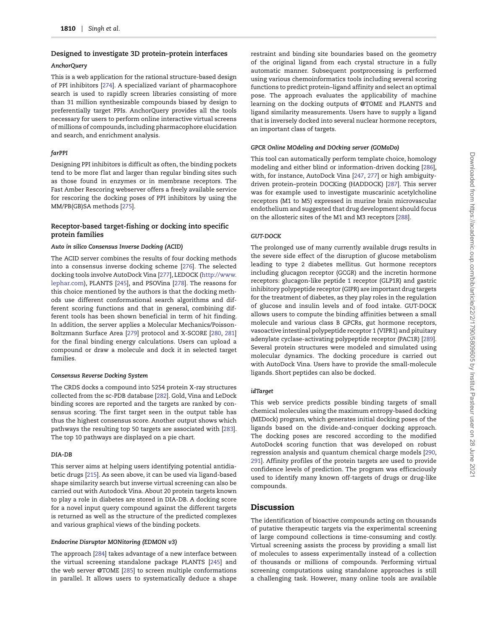#### **Designed to investigate 3D protein–protein interfaces**

## *AnchorQuery*

This is a web application for the rational structure-based design of PPI inhibitors [274]. A specialized variant of pharmacophore search is used to rapidly screen libraries consisting of more than 31 million synthesizable compounds biased by design to preferentially target PPIs. AnchorQuery provides all the tools necessary for users to perform online interactive virtual screens of millions of compounds, including pharmacophore elucidation and search, and enrichment analysis.

#### *farPPI*

Designing PPI inhibitors is difficult as often, the binding pockets tend to be more flat and larger than regular binding sites such as those found in enzymes or in membrane receptors. The Fast Amber Rescoring webserver offers a freely available service for rescoring the docking poses of PPI inhibitors by using the MM/PB(GB)SA methods [275].

## **Receptor-based target-fishing or docking into specific protein families**

#### *Auto in silico Consensus Inverse Docking (ACID)*

The ACID server combines the results of four docking methods into a consensus inverse docking scheme [276]. The selected docking tools involve AutoDock Vina [277], LEDOCK [\(http://www.](http://www.lephar.com) [lephar.com\)](http://www.lephar.com), PLANTS [245], and PSOVina [278]. The reasons for this choice mentioned by the authors is that the docking methods use different conformational search algorithms and different scoring functions and that in general, combining different tools has been shown beneficial in term of hit finding. In addition, the server applies a Molecular Mechanics/Poisson-Boltzmann Surface Area [279] protocol and X-SCORE [280, 281] for the final binding energy calculations. Users can upload a compound or draw a molecule and dock it in selected target families.

#### *Consensus Reverse Docking System*

The CRDS docks a compound into 5254 protein X-ray structures collected from the sc-PDB database [282]. Gold, Vina and LeDock binding scores are reported and the targets are ranked by consensus scoring. The first target seen in the output table has thus the highest consensus score. Another output shows which pathways the resulting top 50 targets are associated with [283]. The top 10 pathways are displayed on a pie chart.

#### *DIA-DB*

This server aims at helping users identifying potential antidiabetic drugs [215]. As seen above, it can be used via ligand-based shape similarity search but inverse virtual screening can also be carried out with Autodock Vina. About 20 protein targets known to play a role in diabetes are stored in DIA-DB. A docking score for a novel input query compound against the different targets is returned as well as the structure of the predicted complexes and various graphical views of the binding pockets.

#### *Endocrine Disruptor MONitoring (EDMON v3)*

The approach [284] takes advantage of a new interface between the virtual screening standalone package PLANTS [245] and the web server @TOME [285] to screen multiple conformations in parallel. It allows users to systematically deduce a shape restraint and binding site boundaries based on the geometry of the original ligand from each crystal structure in a fully automatic manner. Subsequent postprocessing is performed using various chemoinformatics tools including several scoring functions to predict protein–ligand affinity and select an optimal pose. The approach evaluates the applicability of machine learning on the docking outputs of @TOME and PLANTS and ligand similarity measurements. Users have to supply a ligand that is inversely docked into several nuclear hormone receptors, an important class of targets.

#### *GPCR Online MOdeling and DOcking server (GOMoDo)*

This tool can automatically perform template choice, homology modeling and either blind or information-driven docking [286], with, for instance, AutoDock Vina [247, 277] or high ambiguitydriven protein–protein DOCKing (HADDOCK) [287]. This server was for example used to investigate muscarinic acetylcholine receptors (M1 to M5) expressed in murine brain microvascular endothelium and suggested that drug development should focus on the allosteric sites of the M1 and M3 receptors [288].

#### *GUT-DOCK*

The prolonged use of many currently available drugs results in the severe side effect of the disruption of glucose metabolism leading to type 2 diabetes mellitus. Gut hormone receptors including glucagon receptor (GCGR) and the incretin hormone receptors: glucagon-like peptide 1 receptor (GLP1R) and gastric inhibitory polypeptide receptor (GIPR) are important drug targets for the treatment of diabetes, as they play roles in the regulation of glucose and insulin levels and of food intake. GUT-DOCK allows users to compute the binding affinities between a small molecule and various class B GPCRs, gut hormone receptors, vasoactive intestinal polypeptide receptor 1 (VIPR1) and pituitary adenylate cyclase-activating polypeptide receptor (PAC1R) [289]. Several protein structures were modeled and simulated using molecular dynamics. The docking procedure is carried out with AutoDock Vina. Users have to provide the small-molecule ligands. Short peptides can also be docked.

#### *idTarget*

This web service predicts possible binding targets of small chemical molecules using the maximum entropy-based docking (MEDock) program, which generates initial docking poses of the ligands based on the divide-and-conquer docking approach. The docking poses are rescored according to the modified AutoDock4 scoring function that was developed on robust regression analysis and quantum chemical charge models [290, 291]. Affinity profiles of the protein targets are used to provide confidence levels of prediction. The program was efficaciously used to identify many known off-targets of drugs or drug-like compounds.

## **Discussion**

The identification of bioactive compounds acting on thousands of putative therapeutic targets via the experimental screening of large compound collections is time-consuming and costly. Virtual screening assists the process by providing a small list of molecules to assess experimentally instead of a collection of thousands or millions of compounds. Performing virtual screening computations using standalone approaches is still a challenging task. However, many online tools are available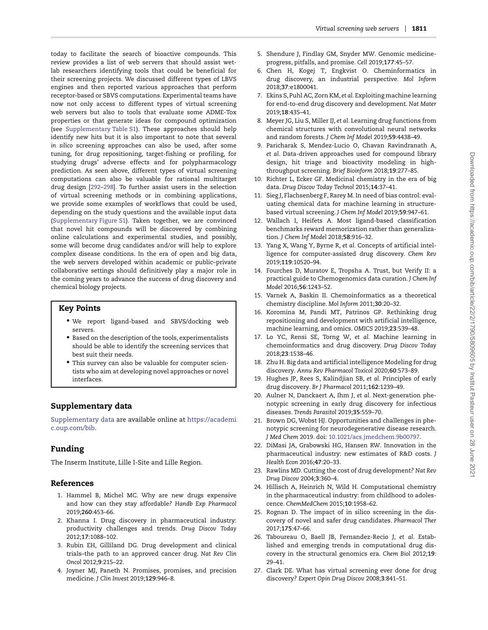today to facilitate the search of bioactive compounds. This review provides a list of web servers that should assist wetlab researchers identifying tools that could be beneficial for their screening projects. We discussed different types of LBVS engines and then reported various approaches that perform receptor-based or SBVS computations. Experimental teams have now not only access to different types of virtual screening web servers but also to tools that evaluate some ADME-Tox properties or that generate ideas for compound optimization (see [Supplementary Table S1\)](https://academic.oup.com/bib/article-lookup/doi/10.1093/bib/bbaa034#supplementary-data). These approaches should help identify new hits but it is also important to note that several *in silico* screening approaches can also be used, after some tuning, for drug repositioning, target-fishing or profiling, for studying drugs' adverse effects and for polypharmacology prediction. As seen above, different types of virtual screening computations can also be valuable for rational multitarget drug design [292–298]. To further assist users in the selection of virtual screening methods or in combining applications, we provide some examples of workflows that could be used, depending on the study questions and the available input data [\(Supplementary Figure S1\)](https://academic.oup.com/bib/article-lookup/doi/10.1093/bib/bbaa034#supplementary-data). Taken together, we are convinced that novel hit compounds will be discovered by combining online calculations and experimental studies, and possibly, some will become drug candidates and/or will help to explore complex disease conditions. In the era of open and big data, the web servers developed within academic or public–private collaborative settings should definitively play a major role in the coming years to advance the success of drug discovery and chemical biology projects.

## **Key Points**

- We report ligand-based and SBVS/docking web servers.
- Based on the description of the tools, experimentalists should be able to identify the screening services that best suit their needs.
- This survey can also be valuable for computer scientists who aim at developing novel approaches or novel interfaces.

## **Supplementary data**

[Supplementary data](https://academic.oup.com/bib/article-lookup/doi/10.1093/bib/bbaa034#supplementary-data) are available online at [https://academi](https://academic.oup.com/bib) [c.oup.com/bib.](https://academic.oup.com/bib)

## **Funding**

The Inserm Institute, Lille I-Site and Lille Region.

## **References**

- 1. Hammel B, Michel MC. Why are new drugs expensive and how can they stay affordable? *Handb Exp Pharmacol* 2019;**260**:453–66.
- 2. Khanna I. Drug discovery in pharmaceutical industry: productivity challenges and trends. *Drug Discov Today* 2012;**17**:1088–102.
- 3. Rubin EH, Gilliland DG. Drug development and clinical trials–the path to an approved cancer drug. *Nat Rev Clin Oncol* 2012;**9**:215–22.
- 4. Joyner MJ, Paneth N. Promises, promises, and precision medicine. *J Clin Invest* 2019;**129**:946–8.
- 5. Shendure J, Findlay GM, Snyder MW. Genomic medicineprogress, pitfalls, and promise. *Cell* 2019;**177**:45–57.
- 6. Chen H, Kogej T, Engkvist O. Cheminformatics in drug discovery, an industrial perspective. *Mol Inform* 2018;**37**:e1800041.
- 7. Ekins S, Puhl AC, Zorn KM, *et al.* Exploiting machine learning for end-to-end drug discovery and development. *Nat Mater* 2019;**18**:435–41.
- 8. Meyer JG, Liu S, Miller IJ, *et al.* Learning drug functions from chemical structures with convolutional neural networks and random forests. *J Chem Inf Model* 2019;**59**:4438–49.
- 9. Paricharak S, Mendez-Lucio O, Chavan Ravindranath A, *et al.* Data-driven approaches used for compound library design, hit triage and bioactivity modeling in highthroughput screening. *Brief Bioinform* 2018;**19**:277–85.
- 10. Richter L, Ecker GF. Medicinal chemistry in the era of big data. *Drug Discov Today Technol* 2015;**14**:37–41.
- 11. Sieg J, Flachsenberg F, Rarey M. In need of bias control: evaluating chemical data for machine learning in structurebased virtual screening. *J Chem Inf Model* 2019;**59**:947–61.
- 12. Wallach I, Heifets A. Most ligand-based classification benchmarks reward memorization rather than generalization. *J Chem Inf Model* 2018;**58**:916–32.
- 13. Yang X, Wang Y, Byrne R, *et al.* Concepts of artificial intelligence for computer-assisted drug discovery. *Chem Rev* 2019;**119**:10520–94.
- 14. Fourches D, Muratov E, Tropsha A. Trust, but Verify II: a practical guide to Chemogenomics data curation. *J Chem Inf Model* 2016;**56**:1243–52.
- 15. Varnek A, Baskin II. Chemoinformatics as a theoretical chemistry discipline. *Mol Inform* 2011;**30**:20–32.
- 16. Koromina M, Pandi MT, Patrinos GP. Rethinking drug repositioning and development with artificial intelligence, machine learning, and omics. *OMICS* 2019;**23**:539–48.
- 17. Lo YC, Rensi SE, Torng W, *et al.* Machine learning in chemoinformatics and drug discovery. *Drug Discov Today* 2018;**23**:1538–46.
- 18. Zhu H. Big data and artificial intelligence Modeling for drug discovery. *Annu Rev Pharmacol Toxicol* 2020;**60**:573–89.
- 19. Hughes JP, Rees S, Kalindjian SB, *et al.* Principles of early drug discovery. *Br J Pharmacol* 2011;**162**:1239–49.
- 20. Aulner N, Danckaert A, Ihm J, *et al.* Next-generation phenotypic screening in early drug discovery for infectious diseases. *Trends Parasitol* 2019;**35**:559–70.
- 21. Brown DG, Wobst HJ. Opportunities and challenges in phenotypic screening for neurodegenerative disease research. *J Med Chem* 2019. doi: [10.1021/acs.jmedchem.9b00797.](https://doi.org/10.1021/acs.jmedchem.9b00797)
- 22. DiMasi JA, Grabowski HG, Hansen RW. Innovation in the pharmaceutical industry: new estimates of R&D costs. *J Health Econ* 2016;**47**:20–33.
- 23. Rawlins MD. Cutting the cost of drug development? *Nat Rev Drug Discov* 2004;**3**:360–4.
- 24. Hillisch A, Heinrich N, Wild H. Computational chemistry in the pharmaceutical industry: from childhood to adolescence. *ChemMedChem* 2015;**10**:1958–62.
- 25. Rognan D. The impact of in silico screening in the discovery of novel and safer drug candidates. *Pharmacol Ther* 2017;**175**:47–66.
- 26. Taboureau O, Baell JB, Fernandez-Recio J, *et al.* Established and emerging trends in computational drug discovery in the structural genomics era. *Chem Biol* 2012;**19**: 29–41.
- 27. Clark DE. What has virtual screening ever done for drug discovery? *Expert Opin Drug Discov* 2008;**3**:841–51.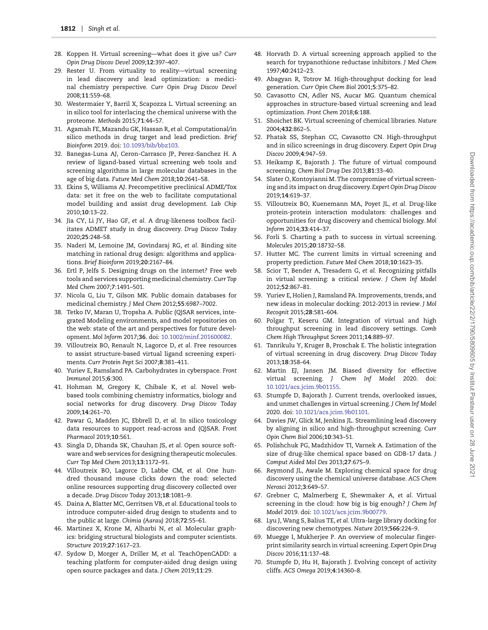- 28. Koppen H. Virtual screening—what does it give us? *Curr Opin Drug Discov Devel* 2009;**12**:397–407.
- 29. Rester U. From virtuality to reality—virtual screening in lead discovery and lead optimization: a medicinal chemistry perspective. *Curr Opin Drug Discov Devel* 2008;**11**:559–68.
- 30. Westermaier Y, Barril X, Scapozza L. Virtual screening: an in silico tool for interlacing the chemical universe with the proteome. *Methods* 2015;**71**:44–57.
- 31. Agamah FE, Mazandu GK, Hassan R, *et al.* Computational/in silico methods in drug target and lead prediction. *Brief Bioinform* 2019. doi: [10.1093/bib/bbz103.](https://doi.org/10.1093/bib/bbz103)
- 32. Banegas-Luna AJ, Ceron-Carrasco JP, Perez-Sanchez H. A review of ligand-based virtual screening web tools and screening algorithms in large molecular databases in the age of big data. *Future Med Chem* 2018;**10**:2641–58.
- 33. Ekins S, Williams AJ. Precompetitive preclinical ADME/Tox data: set it free on the web to facilitate computational model building and assist drug development. *Lab Chip* 2010;**10**:13–22.
- 34. Jia CY, Li JY, Hao GF, *et al.* A drug-likeness toolbox facilitates ADMET study in drug discovery. *Drug Discov Today* 2020;**25**:248–58.
- 35. Naderi M, Lemoine JM, Govindaraj RG, *et al.* Binding site matching in rational drug design: algorithms and applications. *Brief Bioinform* 2019;**20**:2167–84.
- 36. Ertl P, Jelfs S. Designing drugs on the internet? Free web tools and services supporting medicinal chemistry.*Curr Top Med Chem* 2007;**7**:1491–501.
- 37. Nicola G, Liu T, Gilson MK. Public domain databases for medicinal chemistry. *J Med Chem* 2012;**55**:6987–7002.
- 38. Tetko IV, Maran U, Tropsha A. Public (Q)SAR services, integrated Modeling environments, and model repositories on the web: state of the art and perspectives for future development. *Mol Inform* 2017;**36**. doi: [10.1002/minf.201600082.](https://doi.org/10.1002/minf.201600082)
- 39. Villoutreix BO, Renault N, Lagorce D, *et al.* Free resources to assist structure-based virtual ligand screening experiments. *Curr Protein Pept Sci* 2007;**8**:381–411.
- 40. Yuriev E, Ramsland PA. Carbohydrates in cyberspace. *Front Immunol* 2015;**6**:300.
- 41. Hohman M, Gregory K, Chibale K, *et al.* Novel webbased tools combining chemistry informatics, biology and social networks for drug discovery. *Drug Discov Today* 2009;**14**:261–70.
- 42. Pawar G, Madden JC, Ebbrell D, *et al.* In silico toxicology data resources to support read-across and (Q)SAR. *Front Pharmacol* 2019;**10**:561.
- 43. Singla D, Dhanda SK, Chauhan JS, *et al.* Open source software and web services for designing therapeutic molecules. *Curr Top Med Chem* 2013;**13**:1172–91.
- 44. Villoutreix BO, Lagorce D, Labbe CM, *et al.* One hundred thousand mouse clicks down the road: selected online resources supporting drug discovery collected over a decade. *Drug Discov Today* 2013;**18**:1081–9.
- 45. Daina A, Blatter MC, Gerritsen VB, *et al.* Educational tools to introduce computer-aided drug design to students and to the public at large. *Chimia (Aarau)* 2018;**72**:55–61.
- 46. Martinez X, Krone M, Alharbi N, *et al.* Molecular graphics: bridging structural biologists and computer scientists. *Structure* 2019;**27**:1617–23.
- 47. Sydow D, Morger A, Driller M, *et al.* TeachOpenCADD: a teaching platform for computer-aided drug design using open source packages and data. *J Chem* 2019;**11**:29.
- 48. Horvath D. A virtual screening approach applied to the search for trypanothione reductase inhibitors. *J Med Chem* 1997;**40**:2412–23.
- 49. Abagyan R, Totrov M. High-throughput docking for lead generation. *Curr Opin Chem Biol* 2001;**5**:375–82.
- 50. Cavasotto CN, Adler NS, Aucar MG. Quantum chemical approaches in structure-based virtual screening and lead optimization. *Front Chem* 2018;**6**:188.
- 51. Shoichet BK. Virtual screening of chemical libraries. *Nature* 2004;**432**:862–5.
- 52. Phatak SS, Stephan CC, Cavasotto CN. High-throughput and in silico screenings in drug discovery. *Expert Opin Drug Discov* 2009;**4**:947–59.
- 53. Heikamp K, Bajorath J. The future of virtual compound screening. *Chem Biol Drug Des* 2013;**81**:33–40.
- 54. Slater O, Kontoyianni M. The compromise of virtual screening and its impact on drug discovery. *Expert Opin Drug Discov* 2019;**14**:619–37.
- 55. Villoutreix BO, Kuenemann MA, Poyet JL, *et al.* Drug-like protein-protein interaction modulators: challenges and opportunities for drug discovery and chemical biology. *Mol Inform* 2014;**33**:414–37.
- 56. Forli S. Charting a path to success in virtual screening. *Molecules* 2015;**20**:18732–58.
- 57. Hutter MC. The current limits in virtual screening and property prediction. *Future Med Chem* 2018;**10**:1623–35.
- 58. Scior T, Bender A, Tresadern G, *et al.* Recognizing pitfalls in virtual screening: a critical review. *J Chem Inf Model* 2012;**52**:867–81.
- 59. Yuriev E, Holien J, Ramsland PA. Improvements, trends, and new ideas in molecular docking: 2012-2013 in review. *J Mol Recognit* 2015;**28**:581–604.
- 60. Polgar T, Keseru GM. Integration of virtual and high throughput screening in lead discovery settings. *Comb Chem High Throughput Screen* 2011;**14**:889–97.
- 61. Tanrikulu Y, Kruger B, Proschak E. The holistic integration of virtual screening in drug discovery. *Drug Discov Today* 2013;**18**:358–64.
- 62. Martin EJ, Jansen JM. Biased diversity for effective virtual screening. *J Chem Inf Model* 2020. doi: [10.1021/acs.jcim.9b01155.](https://doi.org/10.1021/acs.jcim.9b01155)
- 63. Stumpfe D, Bajorath J. Current trends, overlooked issues, and unmet challenges in virtual screening. *J Chem Inf Model* 2020. doi: [10.1021/acs.jcim.9b01101.](https://doi.org/10.1021/acs.jcim.9b01101)
- 64. Davies JW, Glick M, Jenkins JL. Streamlining lead discovery by aligning in silico and high-throughput screening. *Curr Opin Chem Biol* 2006;**10**:343–51.
- 65. Polishchuk PG, Madzhidov TI, Varnek A. Estimation of the size of drug-like chemical space based on GDB-17 data. *J Comput Aided Mol Des* 2013;**27**:675–9.
- 66. Reymond JL, Awale M. Exploring chemical space for drug discovery using the chemical universe database. *ACS Chem Nerosci* 2012;**3**:649–57.
- 67. Grebner C, Malmerberg E, Shewmaker A, *et al.* Virtual screening in the cloud: how big is big enough? *J Chem Inf Model* 2019. doi: [10.1021/acs.jcim.9b00779.](https://doi.org/10.1021/acs.jcim.9b00779)
- 68. Lyu J, Wang S, Balius TE, *et al.* Ultra-large library docking for discovering new chemotypes. *Nature* 2019;**566**:224–9.
- 69. Muegge I, Mukherjee P. An overview of molecular fingerprint similarity search in virtual screening. *Expert Opin Drug Discov* 2016;**11**:137–48.
- 70. Stumpfe D, Hu H, Bajorath J. Evolving concept of activity cliffs. *ACS Omega* 2019;**4**:14360–8.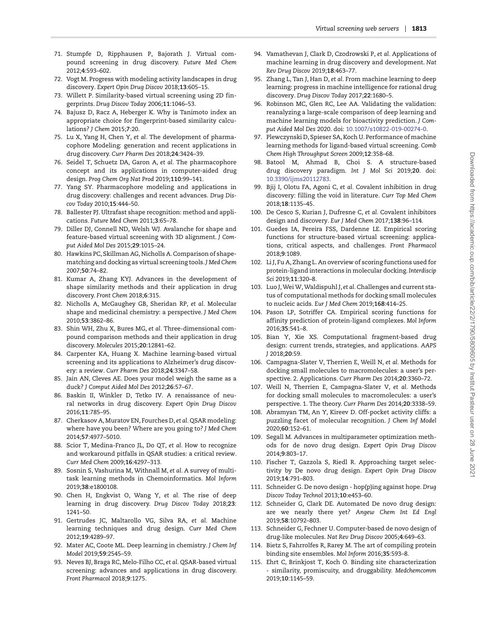- 71. Stumpfe D, Ripphausen P, Bajorath J. Virtual compound screening in drug discovery. *Future Med Chem* 2012;**4**:593–602.
- 72. Vogt M. Progress with modeling activity landscapes in drug discovery. *Expert Opin Drug Discov* 2018;**13**:605–15.
- 73. Willett P. Similarity-based virtual screening using 2D fingerprints. *Drug Discov Today* 2006;**11**:1046–53.
- 74. Bajusz D, Racz A, Heberger K. Why is Tanimoto index an appropriate choice for fingerprint-based similarity calculations? *J Chem* 2015;**7**:20.
- 75. Lu X, Yang H, Chen Y, *et al.* The development of pharmacophore Modeling: generation and recent applications in drug discovery. *Curr Pharm Des* 2018;**24**:3424–39.
- 76. Seidel T, Schuetz DA, Garon A, *et al.* The pharmacophore concept and its applications in computer-aided drug design. *Prog Chem Org Nat Prod* 2019;**110**:99–141.
- 77. Yang SY. Pharmacophore modeling and applications in drug discovery: challenges and recent advances. *Drug Discov Today* 2010;**15**:444–50.
- 78. Ballester PJ. Ultrafast shape recognition: method and applications. *Future Med Chem* 2011;**3**:65–78.
- 79. Diller DJ, Connell ND, Welsh WJ. Avalanche for shape and feature-based virtual screening with 3D alignment. *J Comput Aided Mol Des* 2015;**29**:1015–24.
- 80. Hawkins PC, Skillman AG, Nicholls A. Comparison of shapematching and docking as virtual screening tools.*J Med Chem* 2007;**50**:74–82.
- 81. Kumar A, Zhang KYJ. Advances in the development of shape similarity methods and their application in drug discovery. *Front Chem* 2018;**6**:315.
- 82. Nicholls A, McGaughey GB, Sheridan RP, *et al.* Molecular shape and medicinal chemistry: a perspective. *J Med Chem* 2010;**53**:3862–86.
- 83. Shin WH, Zhu X, Bures MG, *et al.* Three-dimensional compound comparison methods and their application in drug discovery. *Molecules* 2015;**20**:12841–62.
- 84. Carpenter KA, Huang X. Machine learning-based virtual screening and its applications to Alzheimer's drug discovery: a review. *Curr Pharm Des* 2018;**24**:3347–58.
- 85. Jain AN, Cleves AE. Does your model weigh the same as a duck? *J Comput Aided Mol Des* 2012;**26**:57–67.
- 86. Baskin II, Winkler D, Tetko IV. A renaissance of neural networks in drug discovery. *Expert Opin Drug Discov* 2016;**11**:785–95.
- 87. Cherkasov A, Muratov EN, Fourches D, *et al.* QSAR modeling: where have you been? Where are you going to? *J Med Chem* 2014;**57**:4977–5010.
- 88. Scior T, Medina-Franco JL, Do QT, *et al.* How to recognize and workaround pitfalls in QSAR studies: a critical review. *Curr Med Chem* 2009;**16**:4297–313.
- 89. Sosnin S, Vashurina M, Withnall M, *et al.* A survey of multitask learning methods in Chemoinformatics. *Mol Inform* 2019;**38**:e1800108.
- 90. Chen H, Engkvist O, Wang Y, *et al.* The rise of deep learning in drug discovery. *Drug Discov Today* 2018;**23**: 1241–50.
- 91. Gertrudes JC, Maltarollo VG, Silva RA, *et al.* Machine learning techniques and drug design. *Curr Med Chem* 2012;**19**:4289–97.
- 92. Mater AC, Coote ML. Deep learning in chemistry. *J Chem Inf Model* 2019;**59**:2545–59.
- 93. Neves BJ, Braga RC, Melo-Filho CC, *et al.* QSAR-based virtual screening: advances and applications in drug discovery. *Front Pharmacol* 2018;**9**:1275.
- 94. Vamathevan J, Clark D, Czodrowski P, *et al.* Applications of machine learning in drug discovery and development. *Nat Rev Drug Discov* 2019;**18**:463–77.
- 95. Zhang L, Tan J, Han D, *et al.* From machine learning to deep learning: progress in machine intelligence for rational drug discovery. *Drug Discov Today* 2017;**22**:1680–5.
- 96. Robinson MC, Glen RC, Lee AA. Validating the validation: reanalyzing a large-scale comparison of deep learning and machine learning models for bioactivity prediction. *J Comput Aided Mol Des* 2020. doi: [10.1007/s10822-019-00274-0.](https://doi.org/10.1007/s10822-019-00274-0)
- 97. Plewczynski D, Spieser SA, Koch U. Performance of machine learning methods for ligand-based virtual screening. *Comb Chem High Throughput Screen* 2009;**12**:358–68.
- 98. Batool M, Ahmad B, Choi S. A structure-based drug discovery paradigm. *Int J Mol Sci* 2019;**20**. doi: [10.3390/ijms20112783.](https://doi.org/10.3390/ijms20112783)
- 99. Bjij I, Olotu FA, Agoni C, *et al.* Covalent inhibition in drug discovery: filling the void in literature. *Curr Top Med Chem* 2018;**18**:1135–45.
- 100. De Cesco S, Kurian J, Dufresne C, *et al.* Covalent inhibitors design and discovery. *Eur J Med Chem* 2017;**138**:96–114.
- 101. Guedes IA, Pereira FSS, Dardenne LE. Empirical scoring functions for structure-based virtual screening: applications, critical aspects, and challenges. *Front Pharmacol* 2018;**9**:1089.
- 102. Li J, Fu A, Zhang L. An overview of scoring functions used for protein-ligand interactions in molecular docking. *Interdiscip Sci* 2019;**11**:320–8.
- 103. Luo J,Wei W,Waldispuhl J, *et al.*Challenges and current status of computational methods for docking small molecules to nucleic acids. *Eur J Med Chem* 2019;**168**:414–25.
- 104. Pason LP, Sotriffer CA. Empirical scoring functions for affinity prediction of protein-ligand complexes. *Mol Inform* 2016;**35**:541–8.
- 105. Bian Y, Xie XS. Computational fragment-based drug design: current trends, strategies, and applications. *AAPS J* 2018;**20**:59.
- 106. Campagna-Slater V, Therrien E, Weill N, *et al.* Methods for docking small molecules to macromolecules: a user's perspective. 2. Applications. *Curr Pharm Des* 2014;**20**:3360–72.
- 107. Weill N, Therrien E, Campagna-Slater V, *et al.* Methods for docking small molecules to macromolecules: a user's perspective. 1. The theory. *Curr Pharm Des* 2014;**20**:3338–59.
- 108. Abramyan TM, An Y, Kireev D. Off-pocket activity cliffs: a puzzling facet of molecular recognition. *J Chem Inf Model* 2020;**60**:152–61.
- 109. Segall M. Advances in multiparameter optimization methods for de novo drug design. *Expert Opin Drug Discov* 2014;**9**:803–17.
- 110. Fischer T, Gazzola S, Riedl R. Approaching target selectivity by De novo drug design. *Expert Opin Drug Discov* 2019;**14**:791–803.
- 111. Schneider G. De novo design hop(p)ing against hope. *Drug Discov Today Technol* 2013;**10**:e453–60.
- 112. Schneider G, Clark DE. Automated De novo drug design: are we nearly there yet? *Angew Chem Int Ed Engl* 2019;**58**:10792–803.
- 113. Schneider G, Fechner U. Computer-based de novo design of drug-like molecules. *Nat Rev Drug Discov* 2005;**4**:649–63.
- 114. Bietz S, Fahrrolfes R, Rarey M. The art of compiling protein binding site ensembles. *Mol Inform* 2016;**35**:593–8.
- 115. Ehrt C, Brinkjost T, Koch O. Binding site characterization - similarity, promiscuity, and druggability. *Medchemcomm* 2019;**10**:1145–59.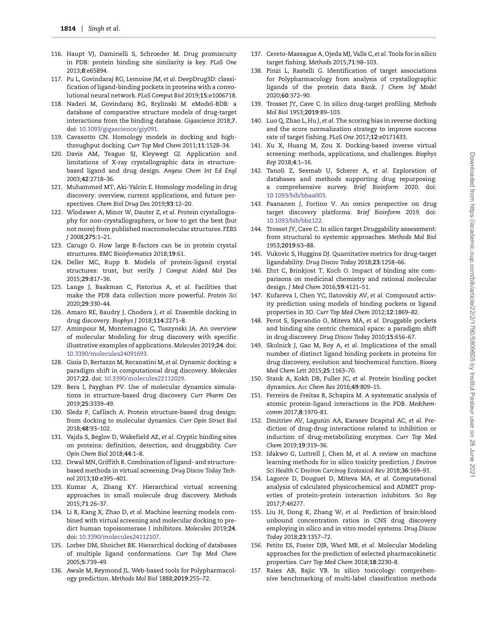- 116. Haupt VJ, Daminelli S, Schroeder M. Drug promiscuity in PDB: protein binding site similarity is key. *PLoS One* 2013;**8**:e65894.
- 117. Pu L, Govindaraj RG, Lemoine JM, *et al.* DeepDrug3D: classification of ligand-binding pockets in proteins with a convolutional neural network. *PLoS Comput Biol* 2019;**15**:e1006718.
- 118. Naderi M, Govindaraj RG, Brylinski M. eModel-BDB: a database of comparative structure models of drug-target interactions from the binding database. *Gigascience* 2018;**7**. doi: [10.1093/gigascience/giy091.](https://doi.org/10.1093/gigascience/giy091)
- 119. Cavasotto CN. Homology models in docking and highthroughput docking. *Curr Top Med Chem* 2011;**11**:1528–34.
- 120. Davis AM, Teague SJ, Kleywegt GJ. Application and limitations of X-ray crystallographic data in structurebased ligand and drug design. *Angew Chem Int Ed Engl* 2003;**42**:2718–36.
- 121. Muhammed MT, Aki-Yalcin E. Homology modeling in drug discovery: overview, current applications, and future perspectives. *Chem Biol Drug Des* 2019;**93**:12–20.
- 122. Wlodawer A, Minor W, Dauter Z, *et al.* Protein crystallography for non-crystallographers, or how to get the best (but not more) from published macromolecular structures. *FEBS J* 2008;**275**:1–21.
- 123. Carugo O. How large B-factors can be in protein crystal structures. *BMC Bioinformatics* 2018;**19**:61.
- 124. Deller MC, Rupp B. Models of protein-ligand crystal structures: trust, but verify. *J Comput Aided Mol Des* 2015;**29**:817–36.
- 125. Lange J, Baakman C, Pistorius A, *et al.* Facilities that make the PDB data collection more powerful. *Protein Sci* 2020;**29**:330–44.
- 126. Amaro RE, Baudry J, Chodera J, *et al.* Ensemble docking in drug discovery. *Biophys J* 2018;**114**:2271–8.
- 127. Aminpour M, Montemagno C, Tuszynski JA. An overview of molecular Modeling for drug discovery with specific illustrative examples of applications. *Molecules* 2019;**24**. doi: [10.3390/molecules24091693.](https://doi.org/10.3390/molecules24091693)
- 128. Gioia D, Bertazzo M, Recanatini M, *et al.* Dynamic docking: a paradigm shift in computational drug discovery. *Molecules* 2017;**22**. doi: [10.3390/molecules22112029.](https://doi.org/10.3390/molecules22112029)
- 129. Bera I, Payghan PV. Use of molecular dynamics simulations in structure-based drug discovery. *Curr Pharm Des* 2019;**25**:3339–49.
- 130. Sledz P, Caflisch A. Protein structure-based drug design: from docking to molecular dynamics. *Curr Opin Struct Biol* 2018;**48**:93–102.
- 131. Vajda S, Beglov D, Wakefield AE, *et al.* Cryptic binding sites on proteins: definition, detection, and druggability. *Curr Opin Chem Biol* 2018;**44**:1–8.
- 132. Drwal MN, Griffith R. Combination of ligand- and structurebased methods in virtual screening. *Drug Discov Today Technol* 2013;**10**:e395–401.
- 133. Kumar A, Zhang KY. Hierarchical virtual screening approaches in small molecule drug discovery. *Methods* 2015;**71**:26–37.
- 134. Li B, Kang X, Zhao D, *et al.* Machine learning models combined with virtual screening and molecular docking to predict human topoisomerase I inhibitors. *Molecules* 2019;**24**. doi: [10.3390/molecules24112107.](https://doi.org/10.3390/molecules24112107)
- 135. Lorber DM, Shoichet BK. Hierarchical docking of databases of multiple ligand conformations. *Curr Top Med Chem* 2005;**5**:739–49.
- 136. Awale M, Reymond JL. Web-based tools for Polypharmacology prediction. *Methods Mol Biol* 1888;**2019**:255–72.
- 137. Cereto-Massague A, Ojeda MJ, Valls C, *et al.*Tools for in silico target fishing. *Methods* 2015;**71**:98–103.
- 138. Pinzi L, Rastelli G. Identification of target associations for Polypharmacology from analysis of crystallographic ligands of the protein data Bank. *J Chem Inf Model* 2020;**60**:372–90.
- 139. Trosset JY, Cave C. In silico drug-target profiling. *Methods Mol Biol* 1953;**2019**:89–103.
- 140. Luo Q, Zhao L, Hu J, *et al.* The scoring bias in reverse docking and the score normalization strategy to improve success rate of target fishing. *PLoS One* 2017;**12**:e0171433.
- 141. Xu X, Huang M, Zou X. Docking-based inverse virtual screening: methods, applications, and challenges. *Biophys Rep* 2018;**4**:1–16.
- 142. Tanoli Z, Seemab U, Scherer A, *et al.* Exploration of databases and methods supporting drug repurposing: a comprehensive survey. *Brief Bioinform* 2020. doi: [10.1093/bib/bbaa003.](https://doi.org/10.1093/bib/bbaa003)
- 143. Paananen J, Fortino V. An omics perspective on drug target discovery platforms. *Brief Bioinform* 2019. doi: [10.1093/bib/bbz122.](https://doi.org/10.1093/bib/bbz122)
- 144. Trosset JY, Cave C. In silico target Druggability assessment: from structural to systemic approaches. *Methods Mol Biol* 1953;**2019**:63–88.
- 145. Vukovic S, Huggins DJ. Quantitative metrics for drug-target ligandability. *Drug Discov Today* 2018;**23**:1258–66.
- 146. Ehrt C, Brinkjost T, Koch O. Impact of binding site comparisons on medicinal chemistry and rational molecular design. *J Med Chem* 2016;**59**:4121–51.
- 147. Kufareva I, Chen YC, Ilatovskiy AV, *et al.* Compound activity prediction using models of binding pockets or ligand properties in 3D. *Curr Top Med Chem* 2012;**12**:1869–82.
- 148. Perot S, Sperandio O, Miteva MA, *et al.* Druggable pockets and binding site centric chemical space: a paradigm shift in drug discovery. *Drug Discov Today* 2010;**15**:656–67.
- 149. Skolnick J, Gao M, Roy A, *et al.* Implications of the small number of distinct ligand binding pockets in proteins for drug discovery, evolution and biochemical function. *Bioorg Med Chem Lett* 2015;**25**:1163–70.
- 150. Stank A, Kokh DB, Fuller JC, *et al.* Protein binding pocket dynamics. *Acc Chem Res* 2016;**49**:809–15.
- 151. Ferreira de Freitas R, Schapira M. A systematic analysis of atomic protein-ligand interactions in the PDB. *Medchemcomm* 2017;**8**:1970–81.
- 152. Dmitriev AV, Lagunin AA, Karasev Dcapital AC, *et al.* Prediction of drug-drug interactions related to inhibition or induction of drug-metabolizing enzymes. *Curr Top Med Chem* 2019;**19**:319–36.
- 153. Idakwo G, Luttrell J, Chen M, *et al.* A review on machine learning methods for in silico toxicity prediction. *J Environ Sci Health C Environ Carcinog Ecotoxicol Rev* 2018;**36**:169–91.
- 154. Lagorce D, Douguet D, Miteva MA, *et al.* Computational analysis of calculated physicochemical and ADMET properties of protein-protein interaction inhibitors. *Sci Rep* 2017;**7**:46277.
- 155. Liu H, Dong K, Zhang W, *et al.* Prediction of brain:blood unbound concentration ratios in CNS drug discovery employing in silico and in vitro model systems. *Drug Discov Today* 2018;**23**:1357–72.
- 156. Petito ES, Foster DJR, Ward MB, *et al.* Molecular Modeling approaches for the prediction of selected pharmacokinetic properties. *Curr Top Med Chem* 2018;**18**:2230–8.
- 157. Raies AB, Bajic VB. In silico toxicology: comprehensive benchmarking of multi-label classification methods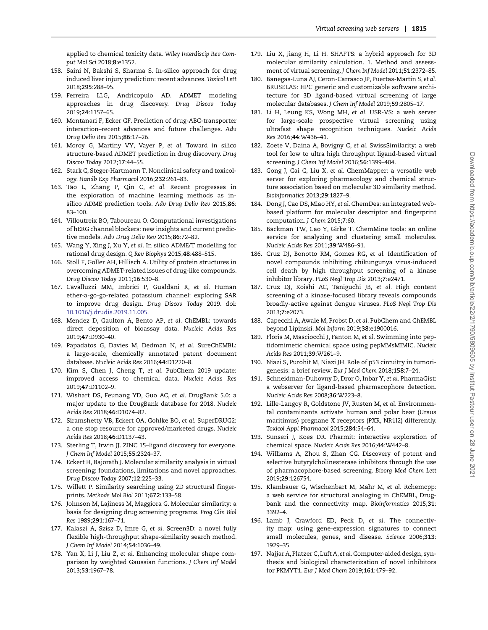applied to chemical toxicity data. *Wiley Interdiscip Rev Comput Mol Sci* 2018;**8**:e1352.

- 158. Saini N, Bakshi S, Sharma S. In-silico approach for drug induced liver injury prediction: recent advances. *Toxicol Lett* 2018;**295**:288–95.
- 159. Ferreira LLG, Andricopulo AD. ADMET modeling approaches in drug discovery. *Drug Discov Today* 2019;**24**:1157–65.
- 160. Montanari F, Ecker GF. Prediction of drug-ABC-transporter interaction–recent advances and future challenges. *Adv Drug Deliv Rev* 2015;**86**:17–26.
- 161. Moroy G, Martiny VY, Vayer P, *et al.* Toward in silico structure-based ADMET prediction in drug discovery. *Drug Discov Today* 2012;**17**:44–55.
- 162. Stark C, Steger-Hartmann T. Nonclinical safety and toxicology. *Handb Exp Pharmacol* 2016;**232**:261–83.
- 163. Tao L, Zhang P, Qin C, *et al.* Recent progresses in the exploration of machine learning methods as insilico ADME prediction tools. *Adv Drug Deliv Rev* 2015;**86**: 83–100.
- 164. Villoutreix BO, Taboureau O. Computational investigations of hERG channel blockers: new insights and current predictive models. *Adv Drug Deliv Rev* 2015;**86**:72–82.
- 165. Wang Y, Xing J, Xu Y, *et al.* In silico ADME/T modelling for rational drug design. *Q Rev Biophys* 2015;**48**:488–515.
- 166. Stoll F, Goller AH, Hillisch A. Utility of protein structures in overcoming ADMET-related issues of drug-like compounds. *Drug Discov Today* 2011;**16**:530–8.
- 167. Cavalluzzi MM, Imbrici P, Gualdani R, *et al.* Human ether-a-go-go-related potassium channel: exploring SAR to improve drug design. *Drug Discov Today* 2019. doi: [10.1016/j.drudis.2019.11.005.](https://doi.org/10.1016/j.drudis.2019.11.005)
- 168. Mendez D, Gaulton A, Bento AP, *et al.* ChEMBL: towards direct deposition of bioassay data. *Nucleic Acids Res* 2019;**47**:D930–40.
- 169. Papadatos G, Davies M, Dedman N, *et al.* SureChEMBL: a large-scale, chemically annotated patent document database. *Nucleic Acids Res* 2016;**44**:D1220–8.
- 170. Kim S, Chen J, Cheng T, *et al.* PubChem 2019 update: improved access to chemical data. *Nucleic Acids Res* 2019;**47**:D1102–9.
- 171. Wishart DS, Feunang YD, Guo AC, *et al.* DrugBank 5.0: a major update to the DrugBank database for 2018. *Nucleic Acids Res* 2018;**46**:D1074–82.
- 172. Siramshetty VB, Eckert OA, Gohlke BO, *et al.* SuperDRUG2: a one stop resource for approved/marketed drugs. *Nucleic Acids Res* 2018;**46**:D1137–43.
- 173. Sterling T, Irwin JJ. ZINC 15–ligand discovery for everyone. *J Chem Inf Model* 2015;**55**:2324–37.
- 174. Eckert H, Bajorath J. Molecular similarity analysis in virtual screening: foundations, limitations and novel approaches. *Drug Discov Today* 2007;**12**:225–33.
- 175. Willett P. Similarity searching using 2D structural fingerprints. *Methods Mol Biol* 2011;**672**:133–58.
- 176. Johnson M, Lajiness M, Maggiora G. Molecular similarity: a basis for designing drug screening programs. *Prog Clin Biol Res* 1989;**291**:167–71.
- 177. Kalaszi A, Szisz D, Imre G, *et al.* Screen3D: a novel fully flexible high-throughput shape-similarity search method. *J Chem Inf Model* 2014;**54**:1036–49.
- 178. Yan X, Li J, Liu Z, *et al.* Enhancing molecular shape comparison by weighted Gaussian functions. *J Chem Inf Model* 2013;**53**:1967–78.
- 179. Liu X, Jiang H, Li H. SHAFTS: a hybrid approach for 3D molecular similarity calculation. 1. Method and assessment of virtual screening. *J Chem Inf Model* 2011;**51**:2372–85.
- 180. Banegas-Luna AJ, Ceron-Carrasco JP, Puertas-Martin S, *et al.* BRUSELAS: HPC generic and customizable software architecture for 3D ligand-based virtual screening of large molecular databases. *J Chem Inf Model* 2019;**59**:2805–17.
- 181. Li H, Leung KS, Wong MH, *et al.* USR-VS: a web server for large-scale prospective virtual screening using ultrafast shape recognition techniques. *Nucleic Acids Res* 2016;**44**:W436–41.
- 182. Zoete V, Daina A, Bovigny C, *et al.* SwissSimilarity: a web tool for low to ultra high throughput ligand-based virtual screening. *J Chem Inf Model* 2016;**56**:1399–404.
- 183. Gong J, Cai C, Liu X, *et al.* ChemMapper: a versatile web server for exploring pharmacology and chemical structure association based on molecular 3D similarity method. *Bioinformatics* 2013;**29**:1827–9.
- 184. Dong J, Cao DS, Miao HY, *et al.* ChemDes: an integrated webbased platform for molecular descriptor and fingerprint computation. *J Chem* 2015;**7**:60.
- 185. Backman TW, Cao Y, Girke T. ChemMine tools: an online service for analyzing and clustering small molecules. *Nucleic Acids Res* 2011;**39**:W486–91.
- 186. Cruz DJ, Bonotto RM, Gomes RG, *et al.* Identification of novel compounds inhibiting chikungunya virus-induced cell death by high throughput screening of a kinase inhibitor library. *PLoS Negl Trop Dis* 2013;**7**:e2471.
- 187. Cruz DJ, Koishi AC, Taniguchi JB, *et al.* High content screening of a kinase-focused library reveals compounds broadly-active against dengue viruses. *PLoS Negl Trop Dis* 2013;**7**:e2073.
- 188. Capecchi A, Awale M, Probst D, *et al.* PubChem and ChEMBL beyond Lipinski. *Mol Inform* 2019;**38**:e1900016.
- 189. Floris M, Masciocchi J, Fanton M, *et al.* Swimming into peptidomimetic chemical space using pepMMsMIMIC. *Nucleic Acids Res* 2011;**39**:W261–9.
- 190. Niazi S, Purohit M, Niazi JH. Role of p53 circuitry in tumorigenesis: a brief review. *Eur J Med Chem* 2018;**158**:7–24.
- 191. Schneidman-Duhovny D, Dror O, Inbar Y, *et al.* PharmaGist: a webserver for ligand-based pharmacophore detection. *Nucleic Acids Res* 2008;**36**:W223–8.
- 192. Lille-Langoy R, Goldstone JV, Rusten M, *et al.* Environmental contaminants activate human and polar bear (Ursus maritimus) pregnane X receptors (PXR, NR1I2) differently. *Toxicol Appl Pharmacol* 2015;**284**:54–64.
- 193. Sunseri J, Koes DR. Pharmit: interactive exploration of chemical space. *Nucleic Acids Res* 2016;**44**:W442–8.
- 194. Williams A, Zhou S, Zhan CG. Discovery of potent and selective butyrylcholinesterase inhibitors through the use of pharmacophore-based screening. *Bioorg Med Chem Lett* 2019;**29**:126754.
- 195. Klambauer G, Wischenbart M, Mahr M, *et al.* Rchemcpp: a web service for structural analoging in ChEMBL, Drugbank and the connectivity map. *Bioinformatics* 2015;**31**: 3392–4.
- 196. Lamb J, Crawford ED, Peck D, *et al.* The connectivity map: using gene-expression signatures to connect small molecules, genes, and disease. *Science* 2006;**313**: 1929–35.
- 197. Najjar A, Platzer C, Luft A, *et al.*Computer-aided design, synthesis and biological characterization of novel inhibitors for PKMYT1. *Eur J Med Chem* 2019;**161**:479–92.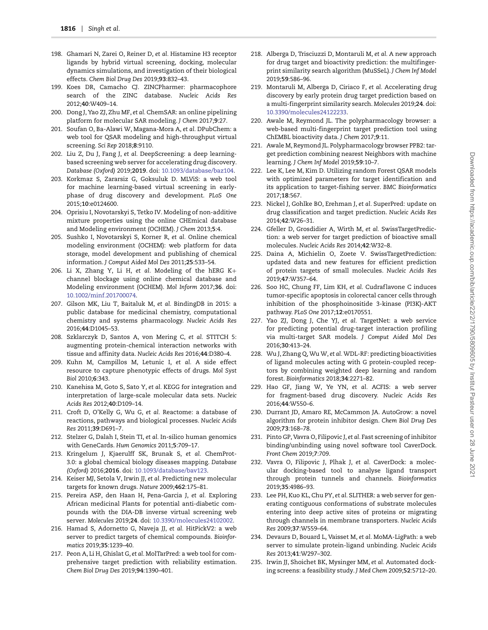- 198. Ghamari N, Zarei O, Reiner D, *et al.* Histamine H3 receptor ligands by hybrid virtual screening, docking, molecular dynamics simulations, and investigation of their biological effects. *Chem Biol Drug Des* 2019;**93**:832–43.
- 199. Koes DR, Camacho CJ. ZINCPharmer: pharmacophore search of the ZINC database. *Nucleic Acids Res* 2012;**40**:W409–14.
- 200. Dong J, Yao ZJ, Zhu MF, *et al.* ChemSAR: an online pipelining platform for molecular SAR modeling. *J Chem* 2017;**9**:27.
- 201. Soufan O, Ba-Alawi W, Magana-Mora A, *et al.* DPubChem: a web tool for QSAR modeling and high-throughput virtual screening. *Sci Rep* 2018;**8**:9110.
- 202. Liu Z, Du J, Fang J, *et al.* DeepScreening: a deep learningbased screening web server for accelerating drug discovery. *Database (Oxford)* 2019;**2019**. doi: [10.1093/database/baz104.](https://doi.org/10.1093/database/baz104)
- 203. Korkmaz S, Zararsiz G, Goksuluk D. MLViS: a web tool for machine learning-based virtual screening in earlyphase of drug discovery and development. *PLoS One* 2015;**10**:e0124600.
- 204. Oprisiu I, Novotarskyi S, Tetko IV. Modeling of non-additive mixture properties using the online CHEmical database and Modeling environment (OCHEM). *J Chem* 2013;**5**:4.
- 205. Sushko I, Novotarskyi S, Korner R, *et al.* Online chemical modeling environment (OCHEM): web platform for data storage, model development and publishing of chemical information. *J Comput Aided Mol Des* 2011;**25**:533–54.
- 206. Li X, Zhang Y, Li H, *et al.* Modeling of the hERG K+ channel blockage using online chemical database and Modeling environment (OCHEM). *Mol Inform* 2017;**36**. doi: [10.1002/minf.201700074.](https://doi.org/10.1002/minf.201700074)
- 207. Gilson MK, Liu T, Baitaluk M, *et al.* BindingDB in 2015: a public database for medicinal chemistry, computational chemistry and systems pharmacology. *Nucleic Acids Res* 2016;**44**:D1045–53.
- 208. Szklarczyk D, Santos A, von Mering C, *et al.* STITCH 5: augmenting protein-chemical interaction networks with tissue and affinity data. *Nucleic Acids Res* 2016;**44**:D380–4.
- 209. Kuhn M, Campillos M, Letunic I, *et al.* A side effect resource to capture phenotypic effects of drugs. *Mol Syst Biol* 2010;**6**:343.
- 210. Kanehisa M, Goto S, Sato Y, *et al.* KEGG for integration and interpretation of large-scale molecular data sets. *Nucleic Acids Res* 2012;**40**:D109–14.
- 211. Croft D, O'Kelly G, Wu G, *et al.* Reactome: a database of reactions, pathways and biological processes. *Nucleic Acids Res* 2011;**39**:D691–7.
- 212. Stelzer G, Dalah I, Stein TI, *et al.* In-silico human genomics with GeneCards. *Hum Genomics* 2011;**5**:709–17.
- 213. Kringelum J, Kjaerulff SK, Brunak S, *et al.* ChemProt-3.0: a global chemical biology diseases mapping. *Database (Oxford)* 2016;**2016**. doi: [10.1093/database/bav123.](https://doi.org/10.1093/database/bav123)
- 214. Keiser MJ, Setola V, Irwin JJ, *et al.* Predicting new molecular targets for known drugs. *Nature* 2009;**462**:175–81.
- 215. Pereira ASP, den Haan H, Pena-Garcia J, *et al.* Exploring African medicinal Plants for potential anti-diabetic compounds with the DIA-DB inverse virtual screening web server. *Molecules* 2019;**24**. doi: [10.3390/molecules24102002.](https://doi.org/10.3390/molecules24102002)
- 216. Hamad S, Adornetto G, Naveja JJ, *et al.* HitPickV2: a web server to predict targets of chemical compounds. *Bioinformatics* 2019;**35**:1239–40.
- 217. Peon A, Li H, Ghislat G, *et al.* MolTarPred: a web tool for comprehensive target prediction with reliability estimation. *Chem Biol Drug Des* 2019;**94**:1390–401.
- 218. Alberga D, Trisciuzzi D, Montaruli M, *et al.* A new approach for drug target and bioactivity prediction: the multifingerprint similarity search algorithm (MuSSeL). *J Chem Inf Model* 2019;**59**:586–96.
- 219. Montaruli M, Alberga D, Ciriaco F, *et al.* Accelerating drug discovery by early protein drug target prediction based on a multi-fingerprint similarity search. *Molecules* 2019;**24**. doi: [10.3390/molecules24122233.](https://doi.org/10.3390/molecules24122233)
- 220. Awale M, Reymond JL. The polypharmacology browser: a web-based multi-fingerprint target prediction tool using ChEMBL bioactivity data. *J Chem* 2017;**9**:11.
- 221. Awale M, Reymond JL. Polypharmacology browser PPB2: target prediction combining nearest Neighbors with machine learning. *J Chem Inf Model* 2019;**59**:10–7.
- 222. Lee K, Lee M, Kim D. Utilizing random Forest QSAR models with optimized parameters for target identification and its application to target-fishing server. *BMC Bioinformatics* 2017;**18**:567.
- 223. Nickel J, Gohlke BO, Erehman J, *et al.* SuperPred: update on drug classification and target prediction. *Nucleic Acids Res* 2014;**42**:W26–31.
- 224. Gfeller D, Grosdidier A, Wirth M, *et al.* SwissTargetPrediction: a web server for target prediction of bioactive small molecules. *Nucleic Acids Res* 2014;**42**:W32–8.
- 225. Daina A, Michielin O, Zoete V. SwissTargetPrediction: updated data and new features for efficient prediction of protein targets of small molecules. *Nucleic Acids Res* 2019;**47**:W357–64.
- 226. Soo HC, Chung FF, Lim KH, et al. Cudraflavone C induces tumor-specific apoptosis in colorectal cancer cells through inhibition of the phosphoinositide 3-kinase (PI3K)-AKT pathway. *PLoS One* 2017;**12**:e0170551.
- 227. Yao ZJ, Dong J, Che YJ, *et al.* TargetNet: a web service for predicting potential drug-target interaction profiling via multi-target SAR models. *J Comput Aided Mol Des* 2016;**30**:413–24.
- 228. Wu J, Zhang Q,Wu W, *et al.*WDL-RF: predicting bioactivities of ligand molecules acting with G protein-coupled receptors by combining weighted deep learning and random forest. *Bioinformatics* 2018;**34**:2271–82.
- 229. Hao GF, Jiang W, Ye YN, *et al.* ACFIS: a web server for fragment-based drug discovery. *Nucleic Acids Res* 2016;**44**:W550–6.
- 230. Durrant JD, Amaro RE, McCammon JA. AutoGrow: a novel algorithm for protein inhibitor design. *Chem Biol Drug Des* 2009;**73**:168–78.
- 231. Pinto GP, Vavra O, Filipovic J, *et al.* Fast screening of inhibitor binding/unbinding using novel software tool CaverDock. *Front Chem* 2019;**7**:709.
- 232. Vavra O, Filipovic J, Plhak J, *et al.* CaverDock: a molecular docking-based tool to analyse ligand transport through protein tunnels and channels. *Bioinformatics* 2019;**35**:4986–93.
- 233. Lee PH, Kuo KL, Chu PY, *et al.* SLITHER: a web server for generating contiguous conformations of substrate molecules entering into deep active sites of proteins or migrating through channels in membrane transporters. *Nucleic Acids Res* 2009;**37**:W559–64.
- 234. Devaurs D, Bouard L, Vaisset M, *et al.* MoMA-LigPath: a web server to simulate protein-ligand unbinding. *Nucleic Acids Res* 2013;**41**:W297–302.
- 235. Irwin JJ, Shoichet BK, Mysinger MM, *et al.* Automated docking screens: a feasibility study. *J Med Chem* 2009;**52**:5712–20.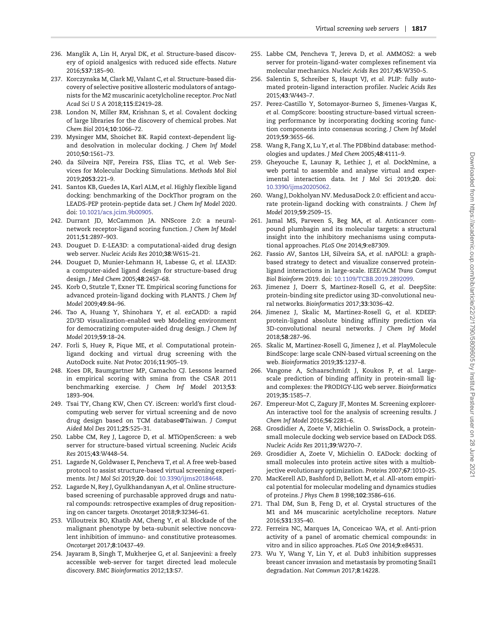- 236. Manglik A, Lin H, Aryal DK, *et al.* Structure-based discovery of opioid analgesics with reduced side effects. *Nature* 2016;**537**:185–90.
- 237. Korczynska M, Clark MJ, Valant C, *et al.* Structure-based discovery of selective positive allosteric modulators of antagonists for the M2 muscarinic acetylcholine receptor. *Proc Natl Acad Sci U S A* 2018;**115**:E2419–28.
- 238. London N, Miller RM, Krishnan S, *et al.* Covalent docking of large libraries for the discovery of chemical probes. *Nat Chem Biol* 2014;**10**:1066–72.
- 239. Mysinger MM, Shoichet BK. Rapid context-dependent ligand desolvation in molecular docking. *J Chem Inf Model* 2010;**50**:1561–73.
- 240. da Silveira NJF, Pereira FSS, Elias TC, *et al.* Web Services for Molecular Docking Simulations. *Methods Mol Biol* 2019;**2053**:221–9.
- 241. Santos KB, Guedes IA, Karl ALM, et al. Highly flexible ligand docking: benchmarking of the DockThor program on the LEADS-PEP protein-peptide data set. *J Chem Inf Model* 2020. doi: [10.1021/acs.jcim.9b00905.](https://doi.org/10.1021/acs.jcim.9b00905)
- 242. Durrant JD, McCammon JA. NNScore 2.0: a neuralnetwork receptor-ligand scoring function. *J Chem Inf Model* 2011;**51**:2897–903.
- 243. Douguet D. E-LEA3D: a computational-aided drug design web server. *Nucleic Acids Res* 2010;**38**:W615–21.
- 244. Douguet D, Munier-Lehmann H, Labesse G, *et al.* LEA3D: a computer-aided ligand design for structure-based drug design. *J Med Chem* 2005;**48**:2457–68.
- 245. Korb O, Stutzle T, Exner TE. Empirical scoring functions for advanced protein-ligand docking with PLANTS. *J Chem Inf Model* 2009;**49**:84–96.
- 246. Tao A, Huang Y, Shinohara Y, *et al.* ezCADD: a rapid 2D/3D visualization-enabled web Modeling environment for democratizing computer-aided drug design. *J Chem Inf Model* 2019;**59**:18–24.
- 247. Forli S, Huey R, Pique ME, *et al.* Computational proteinligand docking and virtual drug screening with the AutoDock suite. *Nat Protoc* 2016;**11**:905–19.
- 248. Koes DR, Baumgartner MP, Camacho CJ. Lessons learned in empirical scoring with smina from the CSAR 2011 benchmarking exercise. *J Chem Inf Model* 2013;**53**: 1893–904.
- 249. Tsai TY, Chang KW, Chen CY. iScreen: world's first cloudcomputing web server for virtual screening and de novo drug design based on TCM database@Taiwan. *J Comput Aided Mol Des* 2011;**25**:525–31.
- 250. Labbe CM, Rey J, Lagorce D, *et al.* MTiOpenScreen: a web server for structure-based virtual screening. *Nucleic Acids Res* 2015;**43**:W448–54.
- 251. Lagarde N, Goldwaser E, Pencheva T, *et al.* A free web-based protocol to assist structure-based virtual screening experiments. *Int J Mol Sci* 2019;**20**. doi: [10.3390/ijms20184648.](https://doi.org/10.3390/ijms20184648)
- 252. Lagarde N, Rey J, Gyulkhandanyan A, *et al.* Online structurebased screening of purchasable approved drugs and natural compounds: retrospective examples of drug repositioning on cancer targets. *Oncotarget* 2018;**9**:32346–61.
- 253. Villoutreix BO, Khatib AM, Cheng Y, *et al.* Blockade of the malignant phenotype by beta-subunit selective noncovalent inhibition of immuno- and constitutive proteasomes. *Oncotarget* 2017;**8**:10437–49.
- 254. Jayaram B, Singh T, Mukherjee G, *et al.* Sanjeevini: a freely accessible web-server for target directed lead molecule discovery. *BMC Bioinformatics* 2012;**13**:S7.
- 255. Labbe CM, Pencheva T, Jereva D, *et al.* AMMOS2: a web server for protein-ligand-water complexes refinement via molecular mechanics. *Nucleic Acids Res* 2017;**45**:W350–5.
- 256. Salentin S, Schreiber S, Haupt VJ, *et al.* PLIP: fully automated protein-ligand interaction profiler. *Nucleic Acids Res* 2015;**43**:W443–7.
- 257. Perez-Castillo Y, Sotomayor-Burneo S, Jimenes-Vargas K, *et al.* CompScore: boosting structure-based virtual screening performance by incorporating docking scoring function components into consensus scoring. *J Chem Inf Model* 2019;**59**:3655–66.
- 258. Wang R, Fang X, Lu Y, *et al.* The PDBbind database: methodologies and updates. *J Med Chem* 2005;**48**:4111–9.
- 259. Gheyouche E, Launay R, Lethiec J, *et al.* DockNmine, a web portal to assemble and analyse virtual and experimental interaction data. *Int J Mol Sci* 2019;**20**. doi: [10.3390/ijms20205062.](https://doi.org/10.3390/ijms20205062)
- 260. Wang J, Dokholyan NV. MedusaDock 2.0: efficient and accurate protein-ligand docking with constraints. *J Chem Inf Model* 2019;**59**:2509–15.
- 261. Jamal MS, Parveen S, Beg MA, *et al.* Anticancer compound plumbagin and its molecular targets: a structural insight into the inhibitory mechanisms using computational approaches. *PLoS One* 2014;**9**:e87309.
- 262. Fassio AV, Santos LH, Silveira SA, *et al.* nAPOLI: a graphbased strategy to detect and visualize conserved proteinligand interactions in large-scale. *IEEE/ACM Trans Comput Biol Bioinform* 2019. doi: [10.1109/TCBB.2019.2892099.](https://doi.org/10.1109/TCBB.2019.2892099)
- 263. Jimenez J, Doerr S, Martinez-Rosell G, *et al.* DeepSite: protein-binding site predictor using 3D-convolutional neural networks. *Bioinformatics* 2017;**33**:3036–42.
- 264. Jimenez J, Skalic M, Martinez-Rosell G, *et al.* KDEEP: protein-ligand absolute binding affinity prediction via 3D-convolutional neural networks. *J Chem Inf Model* 2018;**58**:287–96.
- 265. Skalic M, Martinez-Rosell G, Jimenez J, *et al.* PlayMolecule BindScope: large scale CNN-based virtual screening on the web. *Bioinformatics* 2019;**35**:1237–8.
- 266. Vangone A, Schaarschmidt J, Koukos P, *et al.* Largescale prediction of binding affinity in protein-small ligand complexes: the PRODIGY-LIG web server. *Bioinformatics* 2019;**35**:1585–7.
- 267. Empereur-Mot C, Zagury JF, Montes M. Screening explorer-An interactive tool for the analysis of screening results. *J Chem Inf Model* 2016;**56**:2281–6.
- 268. Grosdidier A, Zoete V, Michielin O. SwissDock, a proteinsmall molecule docking web service based on EADock DSS. *Nucleic Acids Res* 2011;**39**:W270–7.
- 269. Grosdidier A, Zoete V, Michielin O. EADock: docking of small molecules into protein active sites with a multiobjective evolutionary optimization. *Proteins* 2007;**67**:1010–25.
- 270. MacKerell AD, Bashford D, Bellott M, *et al.* All-atom empirical potential for molecular modeling and dynamics studies of proteins. *J Phys Chem B* 1998;**102**:3586–616.
- 271. Thal DM, Sun B, Feng D, *et al.* Crystal structures of the M1 and M4 muscarinic acetylcholine receptors. *Nature* 2016;**531**:335–40.
- 272. Ferreira NC, Marques IA, Conceicao WA, *et al.* Anti-prion activity of a panel of aromatic chemical compounds: in vitro and in silico approaches. *PLoS One* 2014;**9**:e84531.
- 273. Wu Y, Wang Y, Lin Y, *et al.* Dub3 inhibition suppresses breast cancer invasion and metastasis by promoting Snail1 degradation. *Nat Commun* 2017;**8**:14228.